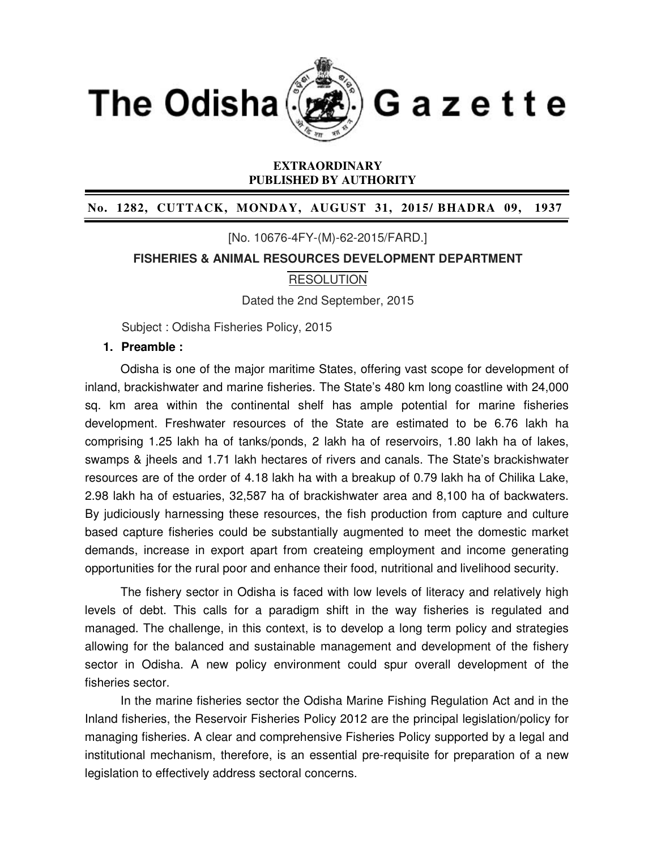

### **EXTRAORDINARY PUBLISHED BY AUTHORITY**

### **No. 1282, CUTTACK, MONDAY, AUGUST 31, 2015/ BHADRA 09, 1937**

[No. 10676-4FY-(M)-62-2015/FARD.]

**FISHERIES & ANIMAL RESOURCES DEVELOPMENT DEPARTMENT**

### **RESOLUTION**

Dated the 2nd September, 2015

Subject : Odisha Fisheries Policy, 2015

### **1. Preamble :**

Odisha is one of the major maritime States, offering vast scope for development of inland, brackishwater and marine fisheries. The State's 480 km long coastline with 24,000 sq. km area within the continental shelf has ample potential for marine fisheries development. Freshwater resources of the State are estimated to be 6.76 lakh ha comprising 1.25 lakh ha of tanks/ponds, 2 lakh ha of reservoirs, 1.80 lakh ha of lakes, swamps & jheels and 1.71 lakh hectares of rivers and canals. The State's brackishwater resources are of the order of 4.18 lakh ha with a breakup of 0.79 lakh ha of Chilika Lake, 2.98 lakh ha of estuaries, 32,587 ha of brackishwater area and 8,100 ha of backwaters. By judiciously harnessing these resources, the fish production from capture and culture based capture fisheries could be substantially augmented to meet the domestic market demands, increase in export apart from createing employment and income generating opportunities for the rural poor and enhance their food, nutritional and livelihood security.

The fishery sector in Odisha is faced with low levels of literacy and relatively high levels of debt. This calls for a paradigm shift in the way fisheries is regulated and managed. The challenge, in this context, is to develop a long term policy and strategies allowing for the balanced and sustainable management and development of the fishery sector in Odisha. A new policy environment could spur overall development of the fisheries sector.

In the marine fisheries sector the Odisha Marine Fishing Regulation Act and in the Inland fisheries, the Reservoir Fisheries Policy 2012 are the principal legislation/policy for managing fisheries. A clear and comprehensive Fisheries Policy supported by a legal and institutional mechanism, therefore, is an essential pre-requisite for preparation of a new legislation to effectively address sectoral concerns.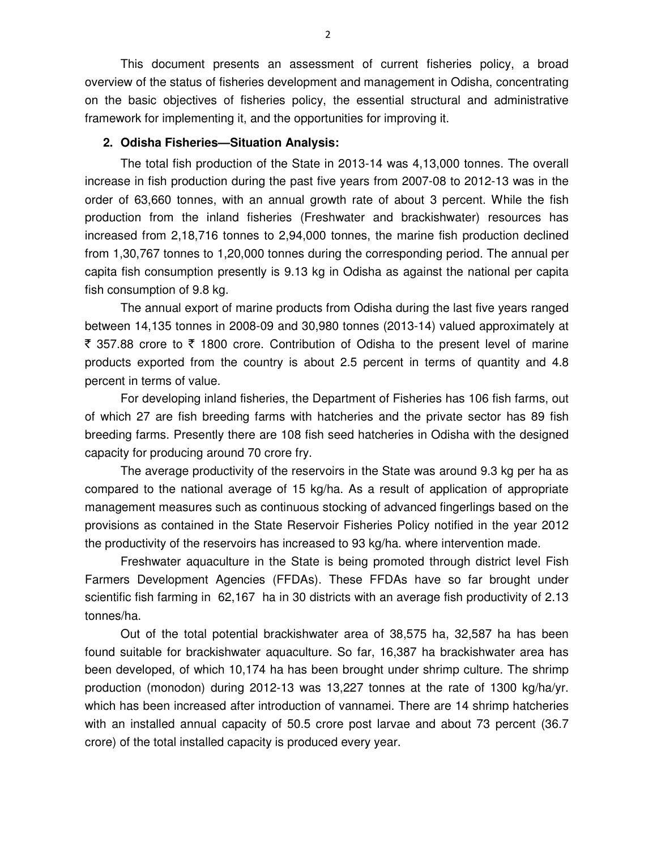This document presents an assessment of current fisheries policy, a broad overview of the status of fisheries development and management in Odisha, concentrating on the basic objectives of fisheries policy, the essential structural and administrative framework for implementing it, and the opportunities for improving it.

### **2. Odisha Fisheries—Situation Analysis:**

 The total fish production of the State in 2013-14 was 4,13,000 tonnes. The overall increase in fish production during the past five years from 2007-08 to 2012-13 was in the order of 63,660 tonnes, with an annual growth rate of about 3 percent. While the fish production from the inland fisheries (Freshwater and brackishwater) resources has increased from 2,18,716 tonnes to 2,94,000 tonnes, the marine fish production declined from 1,30,767 tonnes to 1,20,000 tonnes during the corresponding period. The annual per capita fish consumption presently is 9.13 kg in Odisha as against the national per capita fish consumption of 9.8 kg.

The annual export of marine products from Odisha during the last five years ranged between 14,135 tonnes in 2008-09 and 30,980 tonnes (2013-14) valued approximately at ₹ 357.88 crore to ₹ 1800 crore. Contribution of Odisha to the present level of marine products exported from the country is about 2.5 percent in terms of quantity and 4.8 percent in terms of value.

For developing inland fisheries, the Department of Fisheries has 106 fish farms, out of which 27 are fish breeding farms with hatcheries and the private sector has 89 fish breeding farms. Presently there are 108 fish seed hatcheries in Odisha with the designed capacity for producing around 70 crore fry.

The average productivity of the reservoirs in the State was around 9.3 kg per ha as compared to the national average of 15 kg/ha. As a result of application of appropriate management measures such as continuous stocking of advanced fingerlings based on the provisions as contained in the State Reservoir Fisheries Policy notified in the year 2012 the productivity of the reservoirs has increased to 93 kg/ha. where intervention made.

Freshwater aquaculture in the State is being promoted through district level Fish Farmers Development Agencies (FFDAs). These FFDAs have so far brought under scientific fish farming in 62,167 ha in 30 districts with an average fish productivity of 2.13 tonnes/ha.

Out of the total potential brackishwater area of 38,575 ha, 32,587 ha has been found suitable for brackishwater aquaculture. So far, 16,387 ha brackishwater area has been developed, of which 10,174 ha has been brought under shrimp culture. The shrimp production (monodon) during 2012-13 was 13,227 tonnes at the rate of 1300 kg/ha/yr. which has been increased after introduction of vannamei. There are 14 shrimp hatcheries with an installed annual capacity of 50.5 crore post larvae and about 73 percent (36.7 crore) of the total installed capacity is produced every year.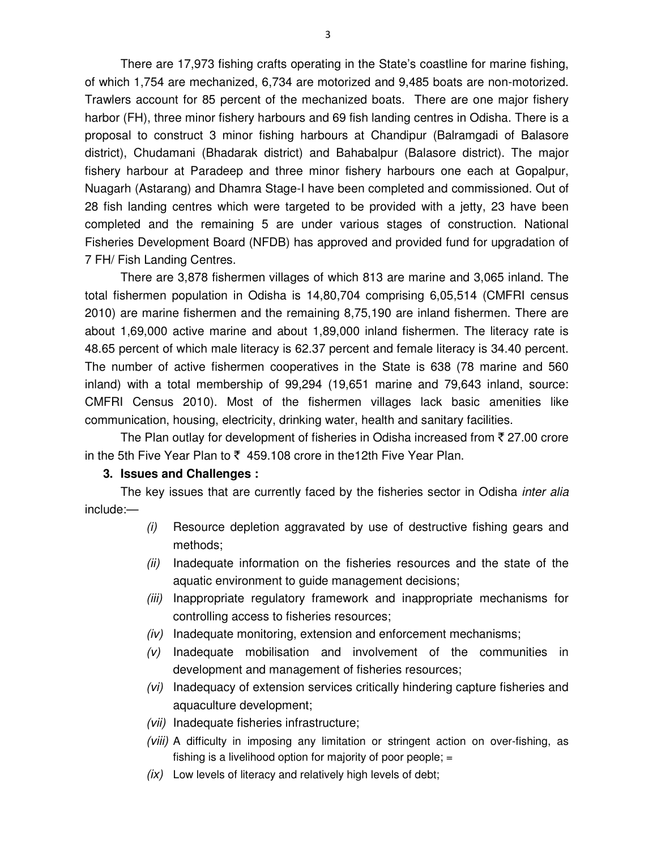There are 17,973 fishing crafts operating in the State's coastline for marine fishing, of which 1,754 are mechanized, 6,734 are motorized and 9,485 boats are non-motorized. Trawlers account for 85 percent of the mechanized boats. There are one major fishery harbor (FH), three minor fishery harbours and 69 fish landing centres in Odisha. There is a proposal to construct 3 minor fishing harbours at Chandipur (Balramgadi of Balasore district), Chudamani (Bhadarak district) and Bahabalpur (Balasore district). The major fishery harbour at Paradeep and three minor fishery harbours one each at Gopalpur, Nuagarh (Astarang) and Dhamra Stage-I have been completed and commissioned. Out of 28 fish landing centres which were targeted to be provided with a jetty, 23 have been completed and the remaining 5 are under various stages of construction. National Fisheries Development Board (NFDB) has approved and provided fund for upgradation of 7 FH/ Fish Landing Centres.

There are 3,878 fishermen villages of which 813 are marine and 3,065 inland. The total fishermen population in Odisha is 14,80,704 comprising 6,05,514 (CMFRI census 2010) are marine fishermen and the remaining 8,75,190 are inland fishermen. There are about 1,69,000 active marine and about 1,89,000 inland fishermen. The literacy rate is 48.65 percent of which male literacy is 62.37 percent and female literacy is 34.40 percent. The number of active fishermen cooperatives in the State is 638 (78 marine and 560 inland) with a total membership of 99,294 (19,651 marine and 79,643 inland, source: CMFRI Census 2010). Most of the fishermen villages lack basic amenities like communication, housing, electricity, drinking water, health and sanitary facilities.

The Plan outlay for development of fisheries in Odisha increased from  $\bar{\tau}$  27.00 crore in the 5th Five Year Plan to  $\bar{\zeta}$  459.108 crore in the 12th Five Year Plan.

#### **3. Issues and Challenges :**

The key issues that are currently faced by the fisheries sector in Odisha *inter alia* include:—

- (i) Resource depletion aggravated by use of destructive fishing gears and methods;
- (ii) Inadequate information on the fisheries resources and the state of the aquatic environment to guide management decisions;
- (iii) Inappropriate regulatory framework and inappropriate mechanisms for controlling access to fisheries resources;
- $(iv)$  Inadequate monitoring, extension and enforcement mechanisms;
- $(v)$  Inadequate mobilisation and involvement of the communities in development and management of fisheries resources;
- (vi) Inadequacy of extension services critically hindering capture fisheries and aquaculture development;
- (vii) Inadequate fisheries infrastructure;
- (viii) A difficulty in imposing any limitation or stringent action on over-fishing, as fishing is a livelihood option for majority of poor people; =
- $(ix)$  Low levels of literacy and relatively high levels of debt;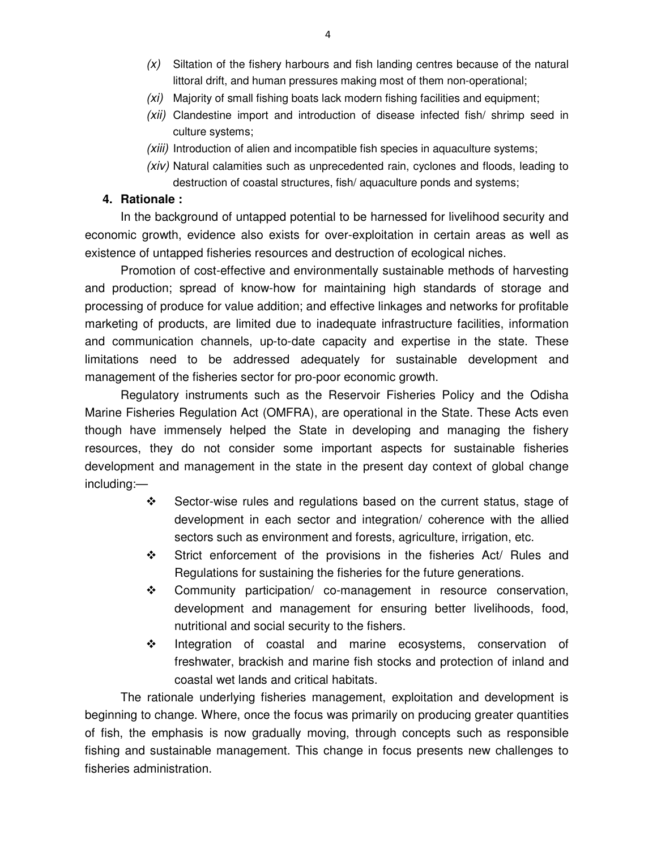- $(x)$  Siltation of the fishery harbours and fish landing centres because of the natural littoral drift, and human pressures making most of them non-operational;
- (xi) Majority of small fishing boats lack modern fishing facilities and equipment;
- (xii) Clandestine import and introduction of disease infected fish/ shrimp seed in culture systems;
- (xiii) Introduction of alien and incompatible fish species in aquaculture systems;
- (xiv) Natural calamities such as unprecedented rain, cyclones and floods, leading to destruction of coastal structures, fish/ aquaculture ponds and systems;

## **4. Rationale :**

In the background of untapped potential to be harnessed for livelihood security and economic growth, evidence also exists for over-exploitation in certain areas as well as existence of untapped fisheries resources and destruction of ecological niches.

Promotion of cost-effective and environmentally sustainable methods of harvesting and production; spread of know-how for maintaining high standards of storage and processing of produce for value addition; and effective linkages and networks for profitable marketing of products, are limited due to inadequate infrastructure facilities, information and communication channels, up-to-date capacity and expertise in the state. These limitations need to be addressed adequately for sustainable development and management of the fisheries sector for pro-poor economic growth.

Regulatory instruments such as the Reservoir Fisheries Policy and the Odisha Marine Fisheries Regulation Act (OMFRA), are operational in the State. These Acts even though have immensely helped the State in developing and managing the fishery resources, they do not consider some important aspects for sustainable fisheries development and management in the state in the present day context of global change including:—

- $\div$  Sector-wise rules and regulations based on the current status, stage of development in each sector and integration/ coherence with the allied sectors such as environment and forests, agriculture, irrigation, etc.
- $\div$  Strict enforcement of the provisions in the fisheries Act/ Rules and Regulations for sustaining the fisheries for the future generations.
- $\div$  Community participation/ co-management in resource conservation, development and management for ensuring better livelihoods, food, nutritional and social security to the fishers.
- $\cdot \cdot$  Integration of coastal and marine ecosystems, conservation of freshwater, brackish and marine fish stocks and protection of inland and coastal wet lands and critical habitats.

The rationale underlying fisheries management, exploitation and development is beginning to change. Where, once the focus was primarily on producing greater quantities of fish, the emphasis is now gradually moving, through concepts such as responsible fishing and sustainable management. This change in focus presents new challenges to fisheries administration.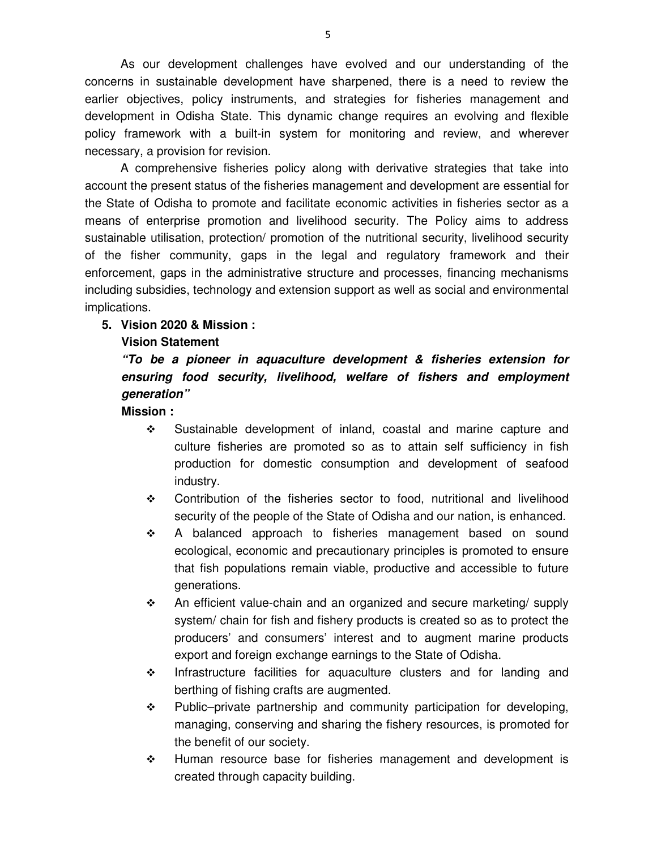As our development challenges have evolved and our understanding of the concerns in sustainable development have sharpened, there is a need to review the earlier objectives, policy instruments, and strategies for fisheries management and development in Odisha State. This dynamic change requires an evolving and flexible policy framework with a built-in system for monitoring and review, and wherever necessary, a provision for revision.

A comprehensive fisheries policy along with derivative strategies that take into account the present status of the fisheries management and development are essential for the State of Odisha to promote and facilitate economic activities in fisheries sector as a means of enterprise promotion and livelihood security. The Policy aims to address sustainable utilisation, protection/ promotion of the nutritional security, livelihood security of the fisher community, gaps in the legal and regulatory framework and their enforcement, gaps in the administrative structure and processes, financing mechanisms including subsidies, technology and extension support as well as social and environmental implications.

### **5. Vision 2020 & Mission :**

#### **Vision Statement**

# *"To be a pioneer in aquaculture development & fisheries extension for ensuring food security, livelihood, welfare of fishers and employment generation"*

**Mission :** 

- Sustainable development of inland, coastal and marine capture and culture fisheries are promoted so as to attain self sufficiency in fish production for domestic consumption and development of seafood industry.
- Contribution of the fisheries sector to food, nutritional and livelihood security of the people of the State of Odisha and our nation, is enhanced.
- A balanced approach to fisheries management based on sound ecological, economic and precautionary principles is promoted to ensure that fish populations remain viable, productive and accessible to future generations.
- $\div$  An efficient value-chain and an organized and secure marketing/ supply system/ chain for fish and fishery products is created so as to protect the producers' and consumers' interest and to augment marine products export and foreign exchange earnings to the State of Odisha.
- \* Infrastructure facilities for aquaculture clusters and for landing and berthing of fishing crafts are augmented.
- Public–private partnership and community participation for developing, managing, conserving and sharing the fishery resources, is promoted for the benefit of our society.
- \* Human resource base for fisheries management and development is created through capacity building.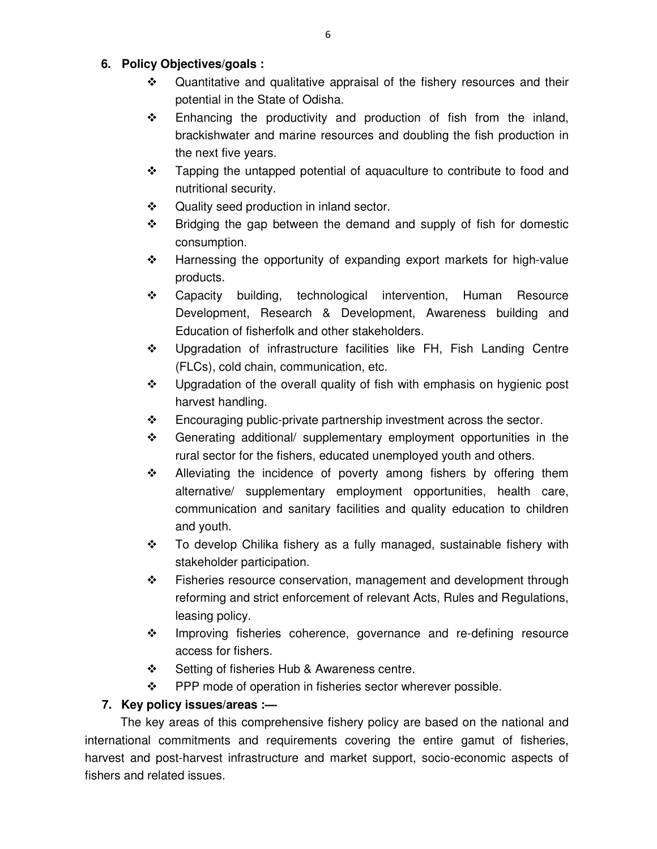## **6. Policy Objectives/goals :**

- Quantitative and qualitative appraisal of the fishery resources and their potential in the State of Odisha.
- \* Enhancing the productivity and production of fish from the inland, brackishwater and marine resources and doubling the fish production in the next five years.
- \* Tapping the untapped potential of aquaculture to contribute to food and nutritional security.
- ❖ Quality seed production in inland sector.
- $\div$  Bridging the gap between the demand and supply of fish for domestic consumption.
- $\div$  Harnessing the opportunity of expanding export markets for high-value products.
- Capacity building, technological intervention, Human Resource Development, Research & Development, Awareness building and Education of fisherfolk and other stakeholders.
- Upgradation of infrastructure facilities like FH, Fish Landing Centre (FLCs), cold chain, communication, etc.
- $\div$  Upgradation of the overall quality of fish with emphasis on hygienic post harvest handling.
- $\div$  Encouraging public-private partnership investment across the sector.
- $\div$  Generating additional/ supplementary employment opportunities in the rural sector for the fishers, educated unemployed youth and others.
- $\div$  Alleviating the incidence of poverty among fishers by offering them alternative/ supplementary employment opportunities, health care, communication and sanitary facilities and quality education to children and youth.
- \* To develop Chilika fishery as a fully managed, sustainable fishery with stakeholder participation.
- $\div$  Fisheries resource conservation, management and development through reforming and strict enforcement of relevant Acts, Rules and Regulations, leasing policy.
- Improving fisheries coherence, governance and re-defining resource access for fishers.
- Setting of fisheries Hub & Awareness centre.
- $\div$  PPP mode of operation in fisheries sector wherever possible.

# **7. Key policy issues/areas :—**

The key areas of this comprehensive fishery policy are based on the national and international commitments and requirements covering the entire gamut of fisheries, harvest and post-harvest infrastructure and market support, socio-economic aspects of fishers and related issues.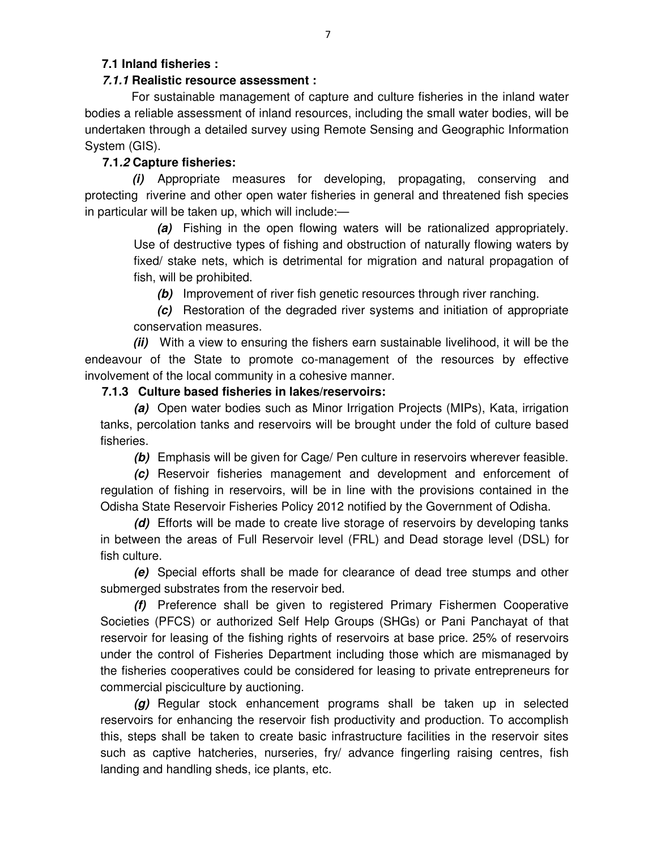## **7.1 Inland fisheries :**

## *7.1.1* **Realistic resource assessment :**

For sustainable management of capture and culture fisheries in the inland water bodies a reliable assessment of inland resources, including the small water bodies, will be undertaken through a detailed survey using Remote Sensing and Geographic Information System (GIS).

## **7.1***.2* **Capture fisheries:**

*(i)* Appropriate measures for developing, propagating, conserving and protecting riverine and other open water fisheries in general and threatened fish species in particular will be taken up, which will include:—

*(a)* Fishing in the open flowing waters will be rationalized appropriately. Use of destructive types of fishing and obstruction of naturally flowing waters by fixed/ stake nets, which is detrimental for migration and natural propagation of fish, will be prohibited.

*(b)* Improvement of river fish genetic resources through river ranching.

*(c)* Restoration of the degraded river systems and initiation of appropriate conservation measures.

*(ii)* With a view to ensuring the fishers earn sustainable livelihood, it will be the endeavour of the State to promote co-management of the resources by effective involvement of the local community in a cohesive manner.

## **7.1.3 Culture based fisheries in lakes/reservoirs:**

*(a)* Open water bodies such as Minor Irrigation Projects (MIPs), Kata, irrigation tanks, percolation tanks and reservoirs will be brought under the fold of culture based fisheries.

*(b)* Emphasis will be given for Cage/ Pen culture in reservoirs wherever feasible.

*(c)* Reservoir fisheries management and development and enforcement of regulation of fishing in reservoirs, will be in line with the provisions contained in the Odisha State Reservoir Fisheries Policy 2012 notified by the Government of Odisha.

*(d)* Efforts will be made to create live storage of reservoirs by developing tanks in between the areas of Full Reservoir level (FRL) and Dead storage level (DSL) for fish culture.

*(e)* Special efforts shall be made for clearance of dead tree stumps and other submerged substrates from the reservoir bed.

*(f)* Preference shall be given to registered Primary Fishermen Cooperative Societies (PFCS) or authorized Self Help Groups (SHGs) or Pani Panchayat of that reservoir for leasing of the fishing rights of reservoirs at base price. 25% of reservoirs under the control of Fisheries Department including those which are mismanaged by the fisheries cooperatives could be considered for leasing to private entrepreneurs for commercial pisciculture by auctioning.

*(g)* Regular stock enhancement programs shall be taken up in selected reservoirs for enhancing the reservoir fish productivity and production. To accomplish this, steps shall be taken to create basic infrastructure facilities in the reservoir sites such as captive hatcheries, nurseries, fry/ advance fingerling raising centres, fish landing and handling sheds, ice plants, etc.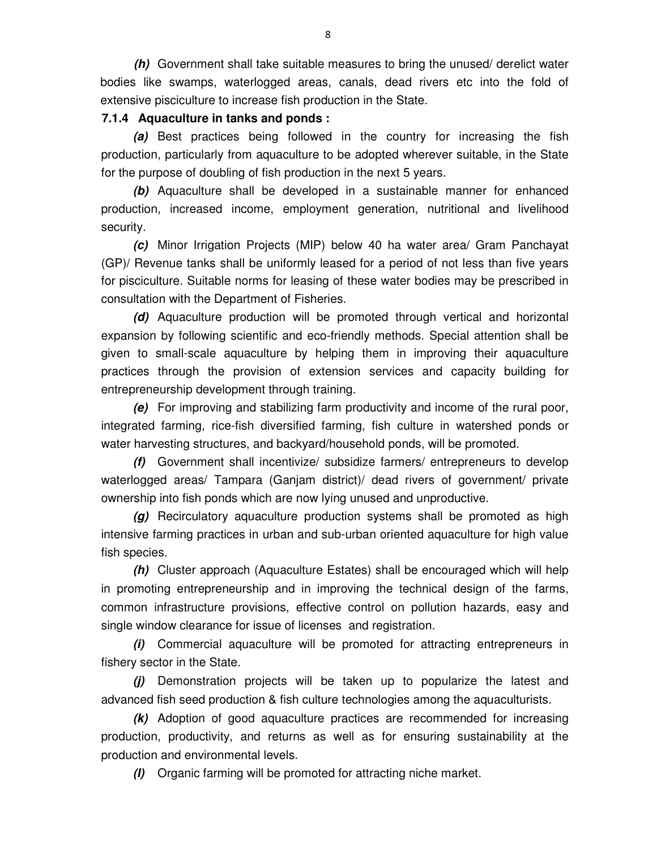*(h)* Government shall take suitable measures to bring the unused/ derelict water bodies like swamps, waterlogged areas, canals, dead rivers etc into the fold of extensive pisciculture to increase fish production in the State.

## **7.1.4 Aquaculture in tanks and ponds :**

*(a)* Best practices being followed in the country for increasing the fish production, particularly from aquaculture to be adopted wherever suitable, in the State for the purpose of doubling of fish production in the next 5 years.

*(b)* Aquaculture shall be developed in a sustainable manner for enhanced production, increased income, employment generation, nutritional and livelihood security.

*(c)* Minor Irrigation Projects (MIP) below 40 ha water area/ Gram Panchayat (GP)/ Revenue tanks shall be uniformly leased for a period of not less than five years for pisciculture. Suitable norms for leasing of these water bodies may be prescribed in consultation with the Department of Fisheries.

*(d)* Aquaculture production will be promoted through vertical and horizontal expansion by following scientific and eco-friendly methods. Special attention shall be given to small-scale aquaculture by helping them in improving their aquaculture practices through the provision of extension services and capacity building for entrepreneurship development through training.

*(e)* For improving and stabilizing farm productivity and income of the rural poor, integrated farming, rice-fish diversified farming, fish culture in watershed ponds or water harvesting structures, and backyard/household ponds, will be promoted.

*(f)* Government shall incentivize/ subsidize farmers/ entrepreneurs to develop waterlogged areas/ Tampara (Ganjam district)/ dead rivers of government/ private ownership into fish ponds which are now lying unused and unproductive.

*(g)* Recirculatory aquaculture production systems shall be promoted as high intensive farming practices in urban and sub-urban oriented aquaculture for high value fish species.

*(h)* Cluster approach (Aquaculture Estates) shall be encouraged which will help in promoting entrepreneurship and in improving the technical design of the farms, common infrastructure provisions, effective control on pollution hazards, easy and single window clearance for issue of licenses and registration.

*(i)* Commercial aquaculture will be promoted for attracting entrepreneurs in fishery sector in the State.

*(j)* Demonstration projects will be taken up to popularize the latest and advanced fish seed production & fish culture technologies among the aquaculturists.

*(k)* Adoption of good aquaculture practices are recommended for increasing production, productivity, and returns as well as for ensuring sustainability at the production and environmental levels.

*(l)* Organic farming will be promoted for attracting niche market.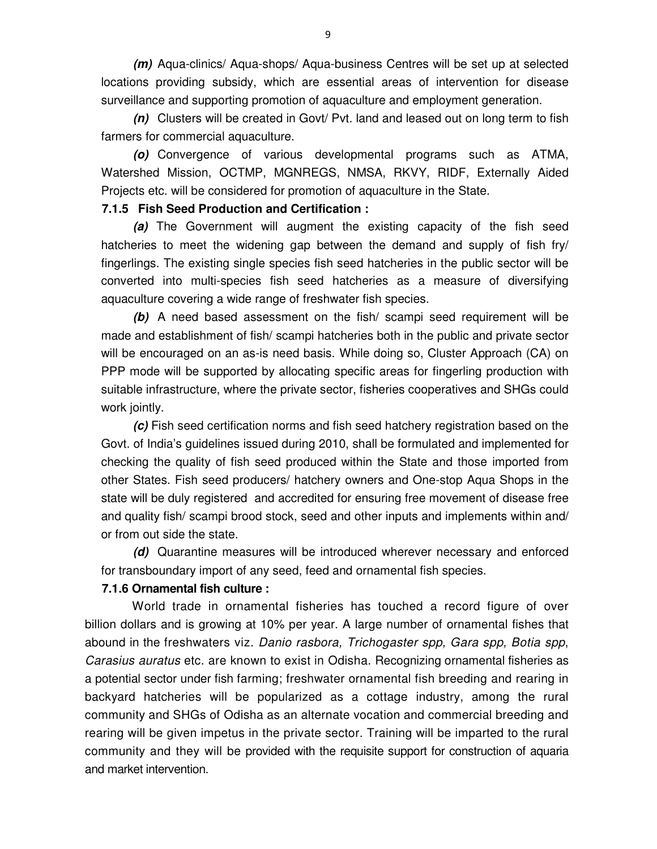*(m)* Aqua-clinics/ Aqua-shops/ Aqua-business Centres will be set up at selected locations providing subsidy, which are essential areas of intervention for disease surveillance and supporting promotion of aquaculture and employment generation.

*(n)* Clusters will be created in Govt/ Pvt. land and leased out on long term to fish farmers for commercial aquaculture.

*(o)* Convergence of various developmental programs such as ATMA, Watershed Mission, OCTMP, MGNREGS, NMSA, RKVY, RIDF, Externally Aided Projects etc. will be considered for promotion of aquaculture in the State.

### **7.1.5 Fish Seed Production and Certification :**

*(a)* The Government will augment the existing capacity of the fish seed hatcheries to meet the widening gap between the demand and supply of fish fry/ fingerlings. The existing single species fish seed hatcheries in the public sector will be converted into multi-species fish seed hatcheries as a measure of diversifying aquaculture covering a wide range of freshwater fish species.

*(b)* A need based assessment on the fish/ scampi seed requirement will be made and establishment of fish/ scampi hatcheries both in the public and private sector will be encouraged on an as-is need basis. While doing so, Cluster Approach (CA) on PPP mode will be supported by allocating specific areas for fingerling production with suitable infrastructure, where the private sector, fisheries cooperatives and SHGs could work jointly.

*(c)* Fish seed certification norms and fish seed hatchery registration based on the Govt. of India's guidelines issued during 2010, shall be formulated and implemented for checking the quality of fish seed produced within the State and those imported from other States. Fish seed producers/ hatchery owners and One-stop Aqua Shops in the state will be duly registered and accredited for ensuring free movement of disease free and quality fish/ scampi brood stock, seed and other inputs and implements within and/ or from out side the state.

*(d)* Quarantine measures will be introduced wherever necessary and enforced for transboundary import of any seed, feed and ornamental fish species.

### **7.1.6 Ornamental fish culture :**

 World trade in ornamental fisheries has touched a record figure of over billion dollars and is growing at 10% per year. A large number of ornamental fishes that abound in the freshwaters viz. Danio rasbora, Trichogaster spp, Gara spp, Botia spp, Carasius auratus etc. are known to exist in Odisha. Recognizing ornamental fisheries as a potential sector under fish farming; freshwater ornamental fish breeding and rearing in backyard hatcheries will be popularized as a cottage industry, among the rural community and SHGs of Odisha as an alternate vocation and commercial breeding and rearing will be given impetus in the private sector. Training will be imparted to the rural community and they will be provided with the requisite support for construction of aquaria and market intervention.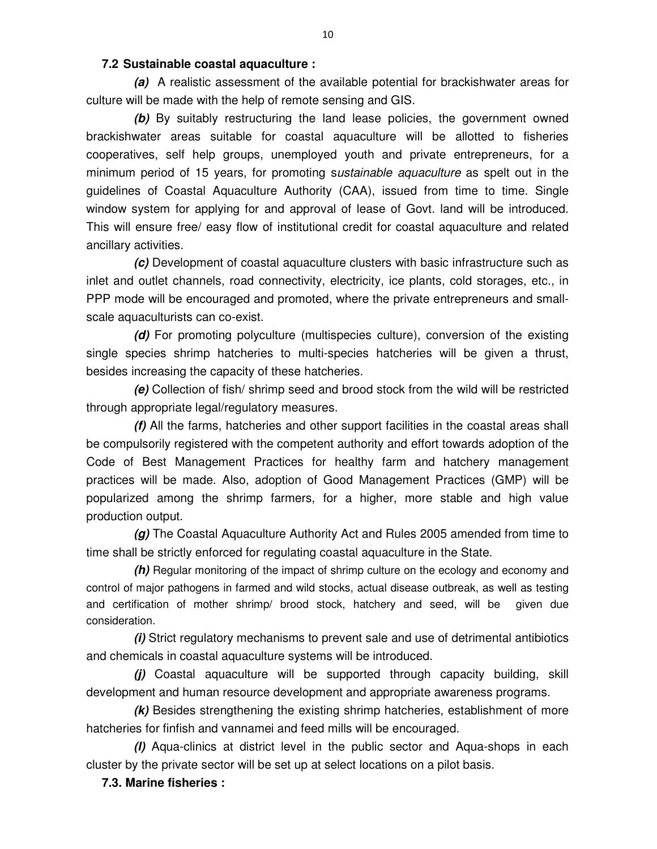### **7.2 Sustainable coastal aquaculture :**

*(a)* A realistic assessment of the available potential for brackishwater areas for culture will be made with the help of remote sensing and GIS.

*(b)* By suitably restructuring the land lease policies, the government owned brackishwater areas suitable for coastal aquaculture will be allotted to fisheries cooperatives, self help groups, unemployed youth and private entrepreneurs, for a minimum period of 15 years, for promoting sustainable aquaculture as spelt out in the guidelines of Coastal Aquaculture Authority (CAA), issued from time to time. Single window system for applying for and approval of lease of Govt. land will be introduced. This will ensure free/ easy flow of institutional credit for coastal aquaculture and related ancillary activities.

*(c)* Development of coastal aquaculture clusters with basic infrastructure such as inlet and outlet channels, road connectivity, electricity, ice plants, cold storages, etc., in PPP mode will be encouraged and promoted, where the private entrepreneurs and smallscale aquaculturists can co-exist.

*(d)* For promoting polyculture (multispecies culture), conversion of the existing single species shrimp hatcheries to multi-species hatcheries will be given a thrust, besides increasing the capacity of these hatcheries.

*(e)* Collection of fish/ shrimp seed and brood stock from the wild will be restricted through appropriate legal/regulatory measures.

*(f)* All the farms, hatcheries and other support facilities in the coastal areas shall be compulsorily registered with the competent authority and effort towards adoption of the Code of Best Management Practices for healthy farm and hatchery management practices will be made. Also, adoption of Good Management Practices (GMP) will be popularized among the shrimp farmers, for a higher, more stable and high value production output.

*(g)* The Coastal Aquaculture Authority Act and Rules 2005 amended from time to time shall be strictly enforced for regulating coastal aquaculture in the State.

*(h)* Regular monitoring of the impact of shrimp culture on the ecology and economy and control of major pathogens in farmed and wild stocks, actual disease outbreak, as well as testing and certification of mother shrimp/ brood stock, hatchery and seed, will be given due consideration.

*(i)* Strict regulatory mechanisms to prevent sale and use of detrimental antibiotics and chemicals in coastal aquaculture systems will be introduced.

*(j)* Coastal aquaculture will be supported through capacity building, skill development and human resource development and appropriate awareness programs.

*(k)* Besides strengthening the existing shrimp hatcheries, establishment of more hatcheries for finfish and vannamei and feed mills will be encouraged.

*(l)* Aqua-clinics at district level in the public sector and Aqua-shops in each cluster by the private sector will be set up at select locations on a pilot basis.

**7.3. Marine fisheries :**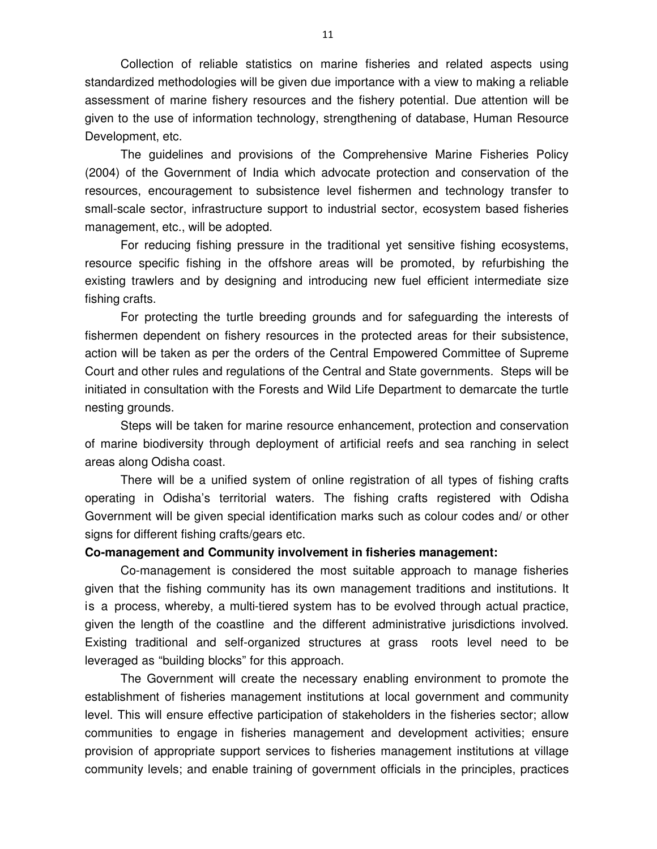Collection of reliable statistics on marine fisheries and related aspects using standardized methodologies will be given due importance with a view to making a reliable assessment of marine fishery resources and the fishery potential. Due attention will be given to the use of information technology, strengthening of database, Human Resource Development, etc.

The guidelines and provisions of the Comprehensive Marine Fisheries Policy (2004) of the Government of India which advocate protection and conservation of the resources, encouragement to subsistence level fishermen and technology transfer to small-scale sector, infrastructure support to industrial sector, ecosystem based fisheries management, etc., will be adopted.

For reducing fishing pressure in the traditional yet sensitive fishing ecosystems, resource specific fishing in the offshore areas will be promoted, by refurbishing the existing trawlers and by designing and introducing new fuel efficient intermediate size fishing crafts.

For protecting the turtle breeding grounds and for safeguarding the interests of fishermen dependent on fishery resources in the protected areas for their subsistence, action will be taken as per the orders of the Central Empowered Committee of Supreme Court and other rules and regulations of the Central and State governments. Steps will be initiated in consultation with the Forests and Wild Life Department to demarcate the turtle nesting grounds.

Steps will be taken for marine resource enhancement, protection and conservation of marine biodiversity through deployment of artificial reefs and sea ranching in select areas along Odisha coast.

There will be a unified system of online registration of all types of fishing crafts operating in Odisha's territorial waters. The fishing crafts registered with Odisha Government will be given special identification marks such as colour codes and/ or other signs for different fishing crafts/gears etc.

#### **Co-management and Community involvement in fisheries management:**

Co-management is considered the most suitable approach to manage fisheries given that the fishing community has its own management traditions and institutions. It is a process, whereby, a multi-tiered system has to be evolved through actual practice, given the length of the coastline and the different administrative jurisdictions involved. Existing traditional and self-organized structures at grass roots level need to be leveraged as "building blocks" for this approach.

The Government will create the necessary enabling environment to promote the establishment of fisheries management institutions at local government and community level. This will ensure effective participation of stakeholders in the fisheries sector; allow communities to engage in fisheries management and development activities; ensure provision of appropriate support services to fisheries management institutions at village community levels; and enable training of government officials in the principles, practices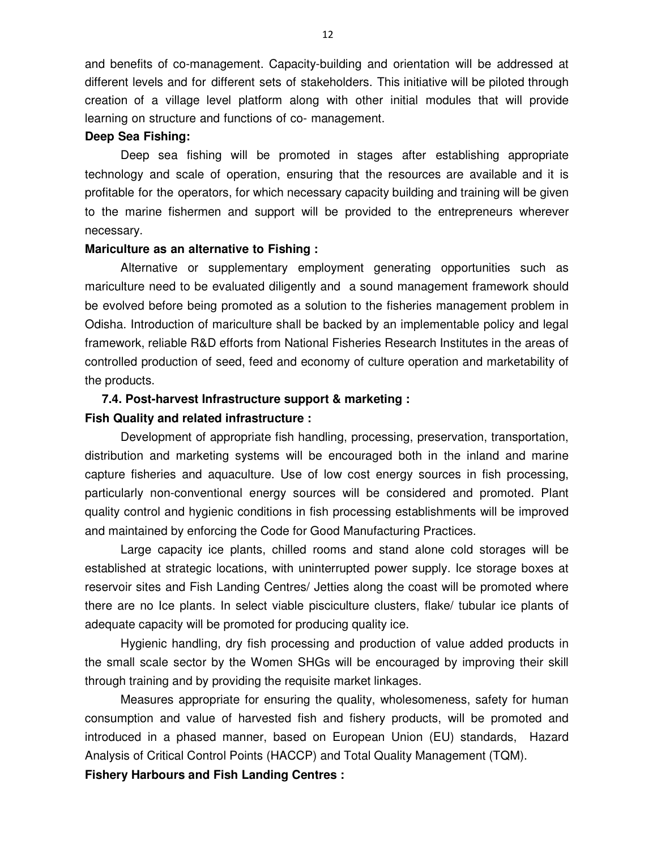and benefits of co-management. Capacity-building and orientation will be addressed at different levels and for different sets of stakeholders. This initiative will be piloted through creation of a village level platform along with other initial modules that will provide learning on structure and functions of co- management.

#### **Deep Sea Fishing:**

Deep sea fishing will be promoted in stages after establishing appropriate technology and scale of operation, ensuring that the resources are available and it is profitable for the operators, for which necessary capacity building and training will be given to the marine fishermen and support will be provided to the entrepreneurs wherever necessary.

#### **Mariculture as an alternative to Fishing :**

Alternative or supplementary employment generating opportunities such as mariculture need to be evaluated diligently and a sound management framework should be evolved before being promoted as a solution to the fisheries management problem in Odisha. Introduction of mariculture shall be backed by an implementable policy and legal framework, reliable R&D efforts from National Fisheries Research Institutes in the areas of controlled production of seed, feed and economy of culture operation and marketability of the products.

# **7.4. Post-harvest Infrastructure support & marketing :**

#### **Fish Quality and related infrastructure :**

Development of appropriate fish handling, processing, preservation, transportation, distribution and marketing systems will be encouraged both in the inland and marine capture fisheries and aquaculture. Use of low cost energy sources in fish processing, particularly non-conventional energy sources will be considered and promoted. Plant quality control and hygienic conditions in fish processing establishments will be improved and maintained by enforcing the Code for Good Manufacturing Practices.

Large capacity ice plants, chilled rooms and stand alone cold storages will be established at strategic locations, with uninterrupted power supply. Ice storage boxes at reservoir sites and Fish Landing Centres/ Jetties along the coast will be promoted where there are no Ice plants. In select viable pisciculture clusters, flake/ tubular ice plants of adequate capacity will be promoted for producing quality ice.

Hygienic handling, dry fish processing and production of value added products in the small scale sector by the Women SHGs will be encouraged by improving their skill through training and by providing the requisite market linkages.

Measures appropriate for ensuring the quality, wholesomeness, safety for human consumption and value of harvested fish and fishery products, will be promoted and introduced in a phased manner, based on European Union (EU) standards, Hazard Analysis of Critical Control Points (HACCP) and Total Quality Management (TQM).

**Fishery Harbours and Fish Landing Centres :**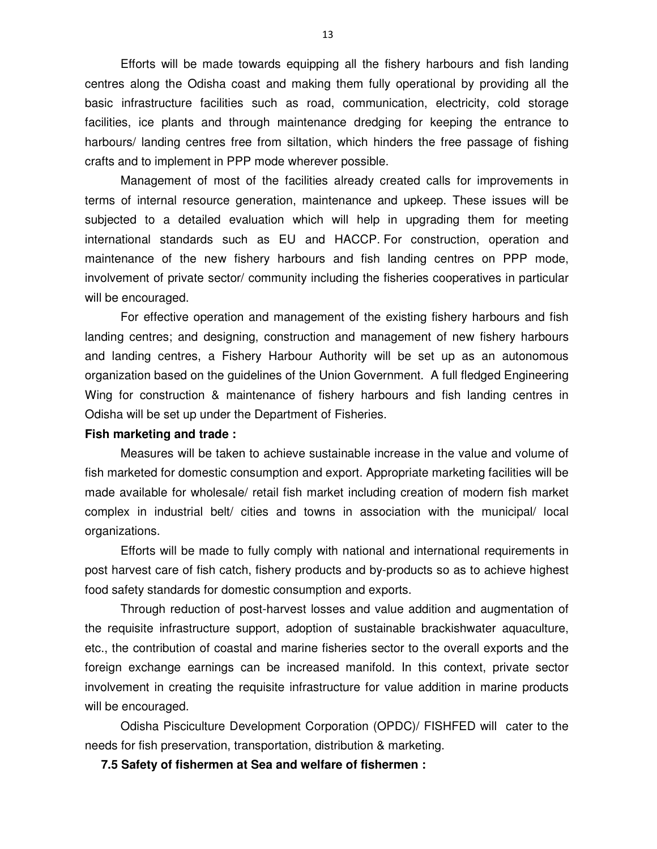Efforts will be made towards equipping all the fishery harbours and fish landing centres along the Odisha coast and making them fully operational by providing all the basic infrastructure facilities such as road, communication, electricity, cold storage facilities, ice plants and through maintenance dredging for keeping the entrance to harbours/ landing centres free from siltation, which hinders the free passage of fishing crafts and to implement in PPP mode wherever possible.

Management of most of the facilities already created calls for improvements in terms of internal resource generation, maintenance and upkeep. These issues will be subjected to a detailed evaluation which will help in upgrading them for meeting international standards such as EU and HACCP. For construction, operation and maintenance of the new fishery harbours and fish landing centres on PPP mode, involvement of private sector/ community including the fisheries cooperatives in particular will be encouraged.

For effective operation and management of the existing fishery harbours and fish landing centres; and designing, construction and management of new fishery harbours and landing centres, a Fishery Harbour Authority will be set up as an autonomous organization based on the guidelines of the Union Government. A full fledged Engineering Wing for construction & maintenance of fishery harbours and fish landing centres in Odisha will be set up under the Department of Fisheries.

#### **Fish marketing and trade :**

Measures will be taken to achieve sustainable increase in the value and volume of fish marketed for domestic consumption and export. Appropriate marketing facilities will be made available for wholesale/ retail fish market including creation of modern fish market complex in industrial belt/ cities and towns in association with the municipal/ local organizations.

Efforts will be made to fully comply with national and international requirements in post harvest care of fish catch, fishery products and by-products so as to achieve highest food safety standards for domestic consumption and exports.

Through reduction of post-harvest losses and value addition and augmentation of the requisite infrastructure support, adoption of sustainable brackishwater aquaculture, etc., the contribution of coastal and marine fisheries sector to the overall exports and the foreign exchange earnings can be increased manifold. In this context, private sector involvement in creating the requisite infrastructure for value addition in marine products will be encouraged.

Odisha Pisciculture Development Corporation (OPDC)/ FISHFED will cater to the needs for fish preservation, transportation, distribution & marketing.

**7.5 Safety of fishermen at Sea and welfare of fishermen :**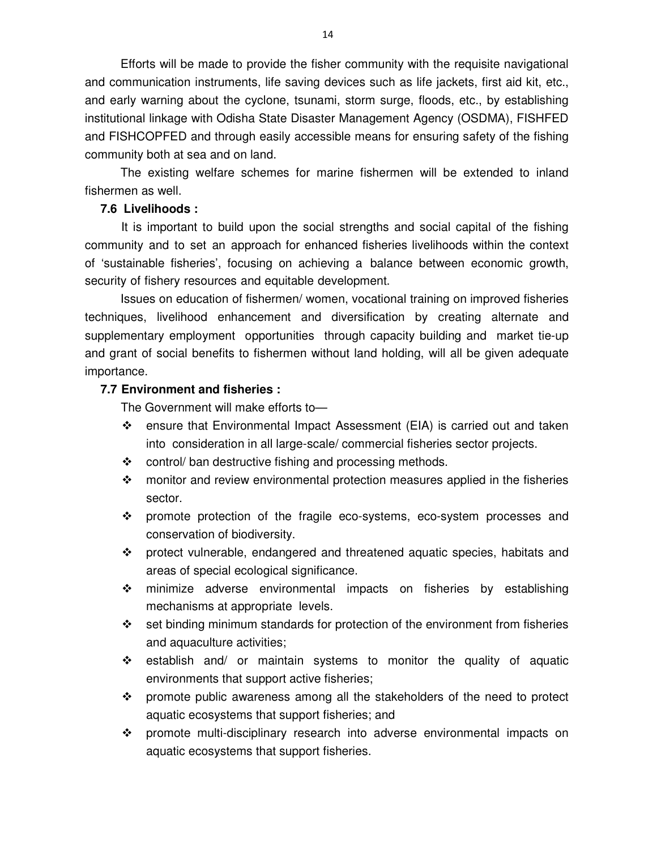Efforts will be made to provide the fisher community with the requisite navigational and communication instruments, life saving devices such as life jackets, first aid kit, etc., and early warning about the cyclone, tsunami, storm surge, floods, etc., by establishing institutional linkage with Odisha State Disaster Management Agency (OSDMA), FISHFED and FISHCOPFED and through easily accessible means for ensuring safety of the fishing community both at sea and on land.

The existing welfare schemes for marine fishermen will be extended to inland fishermen as well.

### **7.6 Livelihoods :**

 It is important to build upon the social strengths and social capital of the fishing community and to set an approach for enhanced fisheries livelihoods within the context of 'sustainable fisheries', focusing on achieving a balance between economic growth, security of fishery resources and equitable development.

Issues on education of fishermen/ women, vocational training on improved fisheries techniques, livelihood enhancement and diversification by creating alternate and supplementary employment opportunities through capacity building and market tie-up and grant of social benefits to fishermen without land holding, will all be given adequate importance.

### **7.7 Environment and fisheries :**

The Government will make efforts to—

- $\div$  ensure that Environmental Impact Assessment (EIA) is carried out and taken into consideration in all large-scale/ commercial fisheries sector projects.
- ❖ control/ ban destructive fishing and processing methods.
- $\div$  monitor and review environmental protection measures applied in the fisheries sector.
- promote protection of the fragile eco-systems, eco-system processes and conservation of biodiversity.
- protect vulnerable, endangered and threatened aquatic species, habitats and areas of special ecological significance.
- $\div$  minimize adverse environmental impacts on fisheries by establishing mechanisms at appropriate levels.
- \* set binding minimum standards for protection of the environment from fisheries and aquaculture activities;
- $\div$  establish and/ or maintain systems to monitor the quality of aquatic environments that support active fisheries;
- $\div$  promote public awareness among all the stakeholders of the need to protect aquatic ecosystems that support fisheries; and
- promote multi-disciplinary research into adverse environmental impacts on aquatic ecosystems that support fisheries.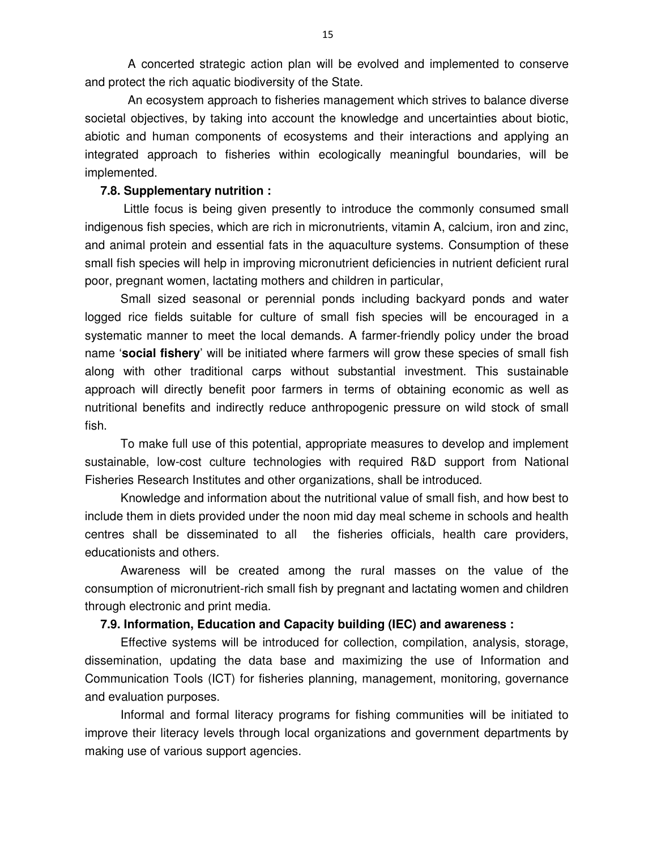A concerted strategic action plan will be evolved and implemented to conserve and protect the rich aquatic biodiversity of the State.

An ecosystem approach to fisheries management which strives to balance diverse societal objectives, by taking into account the knowledge and uncertainties about biotic, abiotic and human components of ecosystems and their interactions and applying an integrated approach to fisheries within ecologically meaningful boundaries, will be implemented.

### **7.8. Supplementary nutrition :**

Little focus is being given presently to introduce the commonly consumed small indigenous fish species, which are rich in micronutrients, vitamin A, calcium, iron and zinc, and animal protein and essential fats in the aquaculture systems. Consumption of these small fish species will help in improving micronutrient deficiencies in nutrient deficient rural poor, pregnant women, lactating mothers and children in particular,

Small sized seasonal or perennial ponds including backyard ponds and water logged rice fields suitable for culture of small fish species will be encouraged in a systematic manner to meet the local demands. A farmer-friendly policy under the broad name '**social fishery**' will be initiated where farmers will grow these species of small fish along with other traditional carps without substantial investment. This sustainable approach will directly benefit poor farmers in terms of obtaining economic as well as nutritional benefits and indirectly reduce anthropogenic pressure on wild stock of small fish.

To make full use of this potential, appropriate measures to develop and implement sustainable, low-cost culture technologies with required R&D support from National Fisheries Research Institutes and other organizations, shall be introduced.

Knowledge and information about the nutritional value of small fish, and how best to include them in diets provided under the noon mid day meal scheme in schools and health centres shall be disseminated to all the fisheries officials, health care providers, educationists and others.

Awareness will be created among the rural masses on the value of the consumption of micronutrient-rich small fish by pregnant and lactating women and children through electronic and print media.

### **7.9. Information, Education and Capacity building (IEC) and awareness :**

Effective systems will be introduced for collection, compilation, analysis, storage, dissemination, updating the data base and maximizing the use of Information and Communication Tools (ICT) for fisheries planning, management, monitoring, governance and evaluation purposes.

Informal and formal literacy programs for fishing communities will be initiated to improve their literacy levels through local organizations and government departments by making use of various support agencies.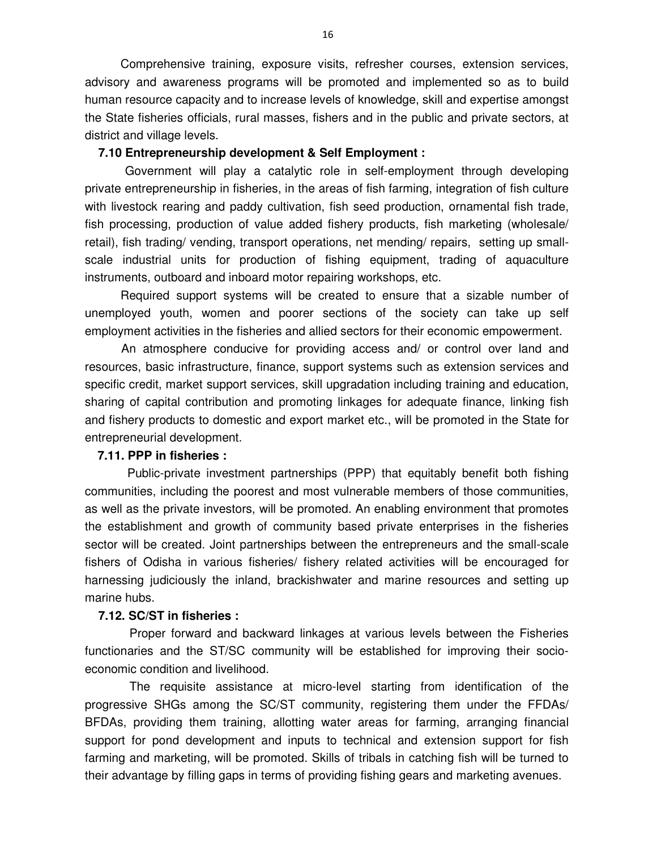Comprehensive training, exposure visits, refresher courses, extension services, advisory and awareness programs will be promoted and implemented so as to build human resource capacity and to increase levels of knowledge, skill and expertise amongst the State fisheries officials, rural masses, fishers and in the public and private sectors, at district and village levels.

### **7.10 Entrepreneurship development & Self Employment :**

Government will play a catalytic role in self-employment through developing private entrepreneurship in fisheries, in the areas of fish farming, integration of fish culture with livestock rearing and paddy cultivation, fish seed production, ornamental fish trade, fish processing, production of value added fishery products, fish marketing (wholesale/ retail), fish trading/ vending, transport operations, net mending/ repairs, setting up smallscale industrial units for production of fishing equipment, trading of aquaculture instruments, outboard and inboard motor repairing workshops, etc.

Required support systems will be created to ensure that a sizable number of unemployed youth, women and poorer sections of the society can take up self employment activities in the fisheries and allied sectors for their economic empowerment.

 An atmosphere conducive for providing access and/ or control over land and resources, basic infrastructure, finance, support systems such as extension services and specific credit, market support services, skill upgradation including training and education, sharing of capital contribution and promoting linkages for adequate finance, linking fish and fishery products to domestic and export market etc., will be promoted in the State for entrepreneurial development.

### **7.11. PPP in fisheries :**

Public-private investment partnerships (PPP) that equitably benefit both fishing communities, including the poorest and most vulnerable members of those communities, as well as the private investors, will be promoted. An enabling environment that promotes the establishment and growth of community based private enterprises in the fisheries sector will be created. Joint partnerships between the entrepreneurs and the small-scale fishers of Odisha in various fisheries/ fishery related activities will be encouraged for harnessing judiciously the inland, brackishwater and marine resources and setting up marine hubs.

### **7.12. SC/ST in fisheries :**

Proper forward and backward linkages at various levels between the Fisheries functionaries and the ST/SC community will be established for improving their socioeconomic condition and livelihood.

The requisite assistance at micro-level starting from identification of the progressive SHGs among the SC/ST community, registering them under the FFDAs/ BFDAs, providing them training, allotting water areas for farming, arranging financial support for pond development and inputs to technical and extension support for fish farming and marketing, will be promoted. Skills of tribals in catching fish will be turned to their advantage by filling gaps in terms of providing fishing gears and marketing avenues.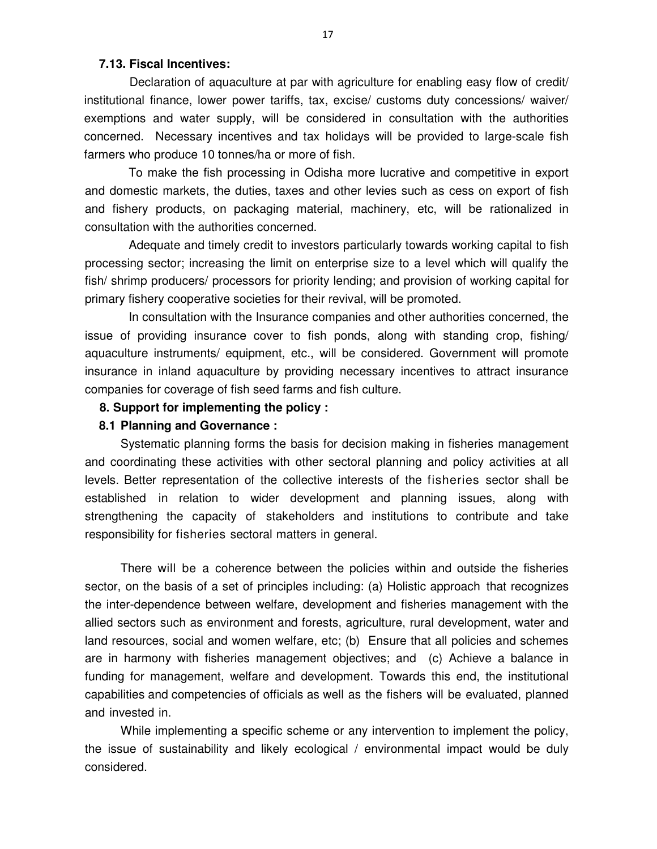### **7.13. Fiscal Incentives:**

Declaration of aquaculture at par with agriculture for enabling easy flow of credit/ institutional finance, lower power tariffs, tax, excise/ customs duty concessions/ waiver/ exemptions and water supply, will be considered in consultation with the authorities concerned. Necessary incentives and tax holidays will be provided to large-scale fish farmers who produce 10 tonnes/ha or more of fish.

To make the fish processing in Odisha more lucrative and competitive in export and domestic markets, the duties, taxes and other levies such as cess on export of fish and fishery products, on packaging material, machinery, etc, will be rationalized in consultation with the authorities concerned.

Adequate and timely credit to investors particularly towards working capital to fish processing sector; increasing the limit on enterprise size to a level which will qualify the fish/ shrimp producers/ processors for priority lending; and provision of working capital for primary fishery cooperative societies for their revival, will be promoted.

In consultation with the Insurance companies and other authorities concerned, the issue of providing insurance cover to fish ponds, along with standing crop, fishing/ aquaculture instruments/ equipment, etc., will be considered. Government will promote insurance in inland aquaculture by providing necessary incentives to attract insurance companies for coverage of fish seed farms and fish culture.

### **8. Support for implementing the policy :**

#### **8.1 Planning and Governance :**

Systematic planning forms the basis for decision making in fisheries management and coordinating these activities with other sectoral planning and policy activities at all levels. Better representation of the collective interests of the fisheries sector shall be established in relation to wider development and planning issues, along with strengthening the capacity of stakeholders and institutions to contribute and take responsibility for fisheries sectoral matters in general.

There will be a coherence between the policies within and outside the fisheries sector, on the basis of a set of principles including: (a) Holistic approach that recognizes the inter-dependence between welfare, development and fisheries management with the allied sectors such as environment and forests, agriculture, rural development, water and land resources, social and women welfare, etc; (b) Ensure that all policies and schemes are in harmony with fisheries management objectives; and (c) Achieve a balance in funding for management, welfare and development. Towards this end, the institutional capabilities and competencies of officials as well as the fishers will be evaluated, planned and invested in.

While implementing a specific scheme or any intervention to implement the policy, the issue of sustainability and likely ecological / environmental impact would be duly considered.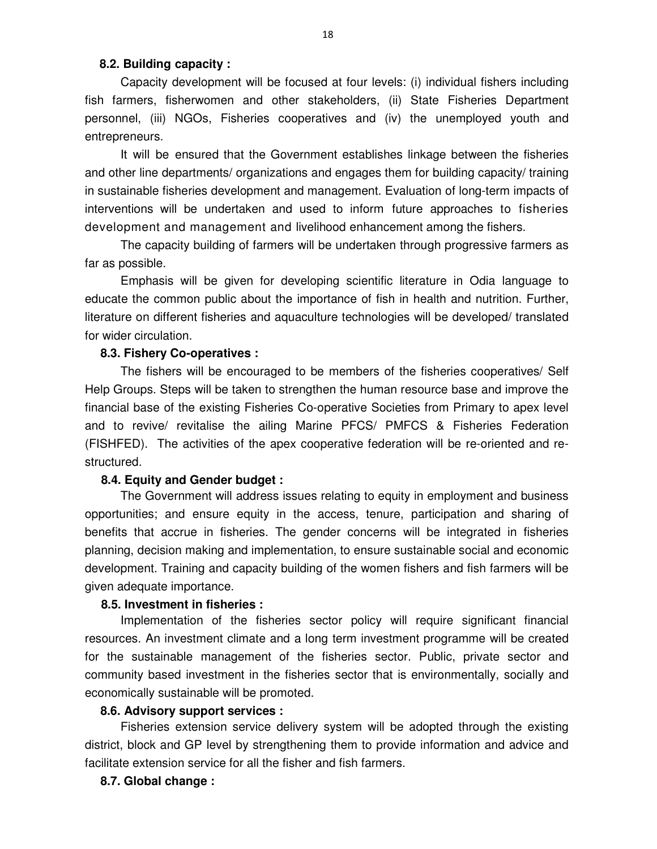#### **8.2. Building capacity :**

Capacity development will be focused at four levels: (i) individual fishers including fish farmers, fisherwomen and other stakeholders, (ii) State Fisheries Department personnel, (iii) NGOs, Fisheries cooperatives and (iv) the unemployed youth and entrepreneurs.

It will be ensured that the Government establishes linkage between the fisheries and other line departments/ organizations and engages them for building capacity/ training in sustainable fisheries development and management. Evaluation of long-term impacts of interventions will be undertaken and used to inform future approaches to fisheries development and management and livelihood enhancement among the fishers.

The capacity building of farmers will be undertaken through progressive farmers as far as possible.

Emphasis will be given for developing scientific literature in Odia language to educate the common public about the importance of fish in health and nutrition. Further, literature on different fisheries and aquaculture technologies will be developed/ translated for wider circulation.

### **8.3. Fishery Co-operatives :**

The fishers will be encouraged to be members of the fisheries cooperatives/ Self Help Groups. Steps will be taken to strengthen the human resource base and improve the financial base of the existing Fisheries Co-operative Societies from Primary to apex level and to revive/ revitalise the ailing Marine PFCS/ PMFCS & Fisheries Federation (FISHFED). The activities of the apex cooperative federation will be re-oriented and restructured.

### **8.4. Equity and Gender budget :**

The Government will address issues relating to equity in employment and business opportunities; and ensure equity in the access, tenure, participation and sharing of benefits that accrue in fisheries. The gender concerns will be integrated in fisheries planning, decision making and implementation, to ensure sustainable social and economic development. Training and capacity building of the women fishers and fish farmers will be given adequate importance.

#### **8.5. Investment in fisheries :**

Implementation of the fisheries sector policy will require significant financial resources. An investment climate and a long term investment programme will be created for the sustainable management of the fisheries sector. Public, private sector and community based investment in the fisheries sector that is environmentally, socially and economically sustainable will be promoted.

#### **8.6. Advisory support services :**

Fisheries extension service delivery system will be adopted through the existing district, block and GP level by strengthening them to provide information and advice and facilitate extension service for all the fisher and fish farmers.

#### **8.7. Global change :**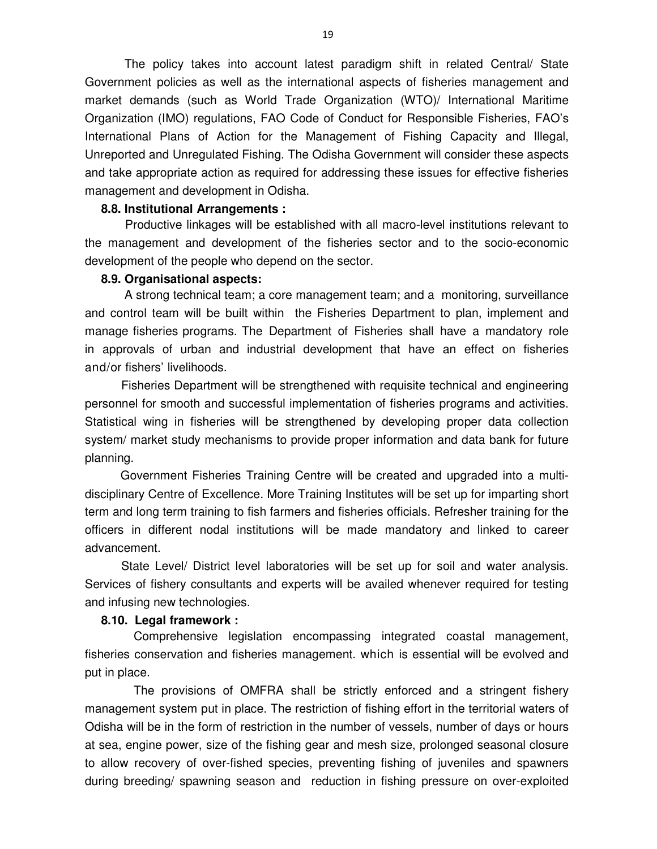The policy takes into account latest paradigm shift in related Central/ State Government policies as well as the international aspects of fisheries management and market demands (such as World Trade Organization (WTO)/ International Maritime Organization (IMO) regulations, FAO Code of Conduct for Responsible Fisheries, FAO's International Plans of Action for the Management of Fishing Capacity and Illegal, Unreported and Unregulated Fishing. The Odisha Government will consider these aspects and take appropriate action as required for addressing these issues for effective fisheries management and development in Odisha.

#### **8.8. Institutional Arrangements :**

Productive linkages will be established with all macro-level institutions relevant to the management and development of the fisheries sector and to the socio-economic development of the people who depend on the sector.

#### **8.9. Organisational aspects:**

A strong technical team; a core management team; and a monitoring, surveillance and control team will be built within the Fisheries Department to plan, implement and manage fisheries programs. The Department of Fisheries shall have a mandatory role in approvals of urban and industrial development that have an effect on fisheries and/or fishers' livelihoods.

 Fisheries Department will be strengthened with requisite technical and engineering personnel for smooth and successful implementation of fisheries programs and activities. Statistical wing in fisheries will be strengthened by developing proper data collection system/ market study mechanisms to provide proper information and data bank for future planning.

Government Fisheries Training Centre will be created and upgraded into a multidisciplinary Centre of Excellence. More Training Institutes will be set up for imparting short term and long term training to fish farmers and fisheries officials. Refresher training for the officers in different nodal institutions will be made mandatory and linked to career advancement.

 State Level/ District level laboratories will be set up for soil and water analysis. Services of fishery consultants and experts will be availed whenever required for testing and infusing new technologies.

### **8.10. Legal framework :**

Comprehensive legislation encompassing integrated coastal management, fisheries conservation and fisheries management. which is essential will be evolved and put in place.

The provisions of OMFRA shall be strictly enforced and a stringent fishery management system put in place. The restriction of fishing effort in the territorial waters of Odisha will be in the form of restriction in the number of vessels, number of days or hours at sea, engine power, size of the fishing gear and mesh size, prolonged seasonal closure to allow recovery of over-fished species, preventing fishing of juveniles and spawners during breeding/ spawning season and reduction in fishing pressure on over-exploited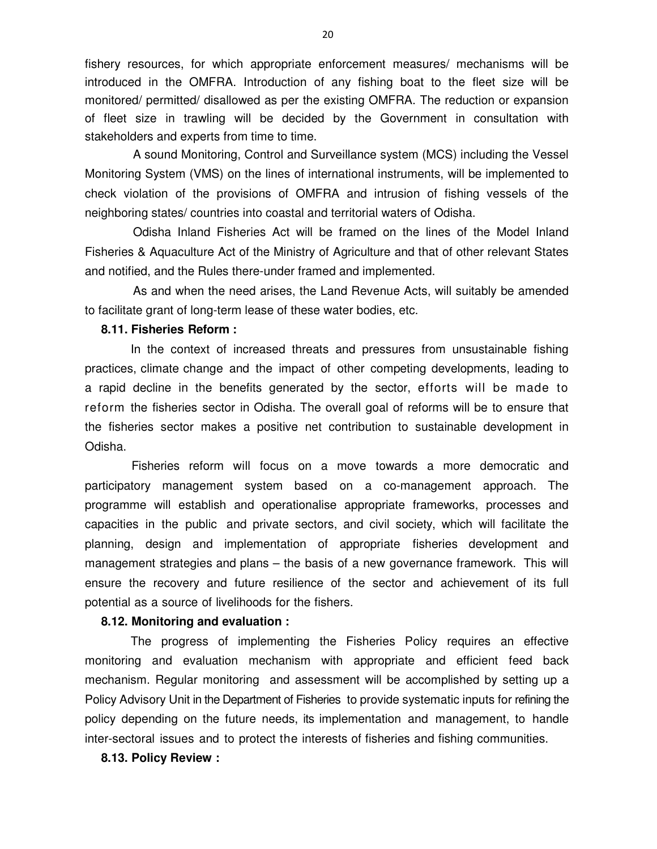fishery resources, for which appropriate enforcement measures/ mechanisms will be introduced in the OMFRA. Introduction of any fishing boat to the fleet size will be monitored/ permitted/ disallowed as per the existing OMFRA. The reduction or expansion of fleet size in trawling will be decided by the Government in consultation with stakeholders and experts from time to time.

A sound Monitoring, Control and Surveillance system (MCS) including the Vessel Monitoring System (VMS) on the lines of international instruments, will be implemented to check violation of the provisions of OMFRA and intrusion of fishing vessels of the neighboring states/ countries into coastal and territorial waters of Odisha.

Odisha Inland Fisheries Act will be framed on the lines of the Model Inland Fisheries & Aquaculture Act of the Ministry of Agriculture and that of other relevant States and notified, and the Rules there-under framed and implemented.

As and when the need arises, the Land Revenue Acts, will suitably be amended to facilitate grant of long-term lease of these water bodies, etc.

### **8.11. Fisheries Reform :**

In the context of increased threats and pressures from unsustainable fishing practices, climate change and the impact of other competing developments, leading to a rapid decline in the benefits generated by the sector, efforts will be made to reform the fisheries sector in Odisha. The overall goal of reforms will be to ensure that the fisheries sector makes a positive net contribution to sustainable development in Odisha.

Fisheries reform will focus on a move towards a more democratic and participatory management system based on a co-management approach. The programme will establish and operationalise appropriate frameworks, processes and capacities in the public and private sectors, and civil society, which will facilitate the planning, design and implementation of appropriate fisheries development and management strategies and plans – the basis of a new governance framework. This will ensure the recovery and future resilience of the sector and achievement of its full potential as a source of livelihoods for the fishers.

#### **8.12. Monitoring and evaluation :**

The progress of implementing the Fisheries Policy requires an effective monitoring and evaluation mechanism with appropriate and efficient feed back mechanism. Regular monitoring and assessment will be accomplished by setting up a Policy Advisory Unit in the Department of Fisheries to provide systematic inputs for refining the policy depending on the future needs, its implementation and management, to handle inter-sectoral issues and to protect the interests of fisheries and fishing communities.

#### **8.13. Policy Review :**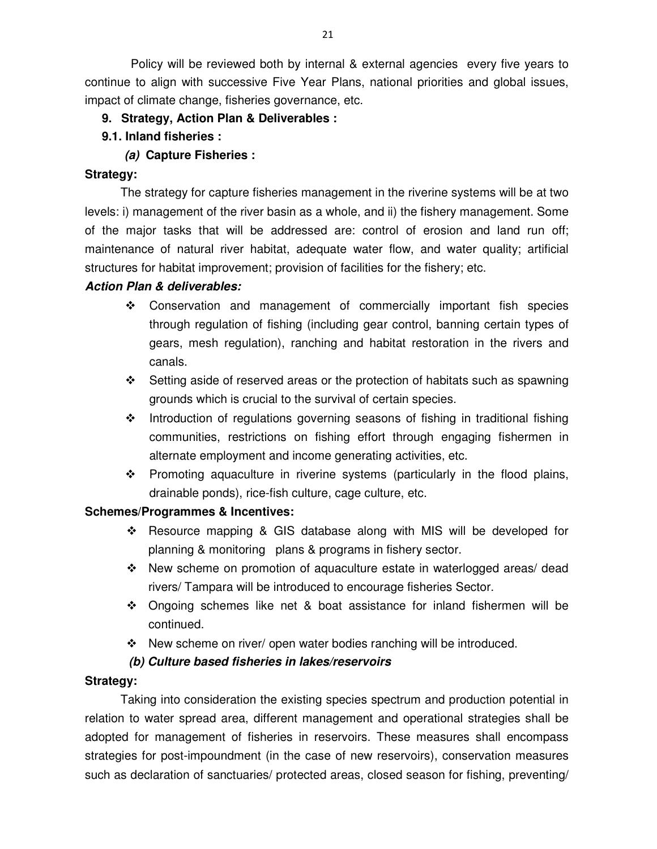Policy will be reviewed both by internal & external agencies every five years to continue to align with successive Five Year Plans, national priorities and global issues, impact of climate change, fisheries governance, etc.

- **9. Strategy, Action Plan & Deliverables :**
- **9.1. Inland fisheries :** 
	- *(a)* **Capture Fisheries :**

## **Strategy:**

The strategy for capture fisheries management in the riverine systems will be at two levels: i) management of the river basin as a whole, and ii) the fishery management. Some of the major tasks that will be addressed are: control of erosion and land run off; maintenance of natural river habitat, adequate water flow, and water quality; artificial structures for habitat improvement; provision of facilities for the fishery; etc.

## *Action Plan & deliverables:*

- Conservation and management of commercially important fish species through regulation of fishing (including gear control, banning certain types of gears, mesh regulation), ranching and habitat restoration in the rivers and canals.
- $\div$  Setting aside of reserved areas or the protection of habitats such as spawning grounds which is crucial to the survival of certain species.
- \* Introduction of regulations governing seasons of fishing in traditional fishing communities, restrictions on fishing effort through engaging fishermen in alternate employment and income generating activities, etc.
- \* Promoting aquaculture in riverine systems (particularly in the flood plains, drainable ponds), rice-fish culture, cage culture, etc.

## **Schemes/Programmes & Incentives:**

- \* Resource mapping & GIS database along with MIS will be developed for planning & monitoring plans & programs in fishery sector.
- $\div$  New scheme on promotion of aquaculture estate in waterlogged areas/dead rivers/ Tampara will be introduced to encourage fisheries Sector.
- $\div$  Ongoing schemes like net & boat assistance for inland fishermen will be continued.
- New scheme on river/ open water bodies ranching will be introduced.

## *(b) Culture based fisheries in lakes/reservoirs*

## **Strategy:**

Taking into consideration the existing species spectrum and production potential in relation to water spread area, different management and operational strategies shall be adopted for management of fisheries in reservoirs. These measures shall encompass strategies for post-impoundment (in the case of new reservoirs), conservation measures such as declaration of sanctuaries/ protected areas, closed season for fishing, preventing/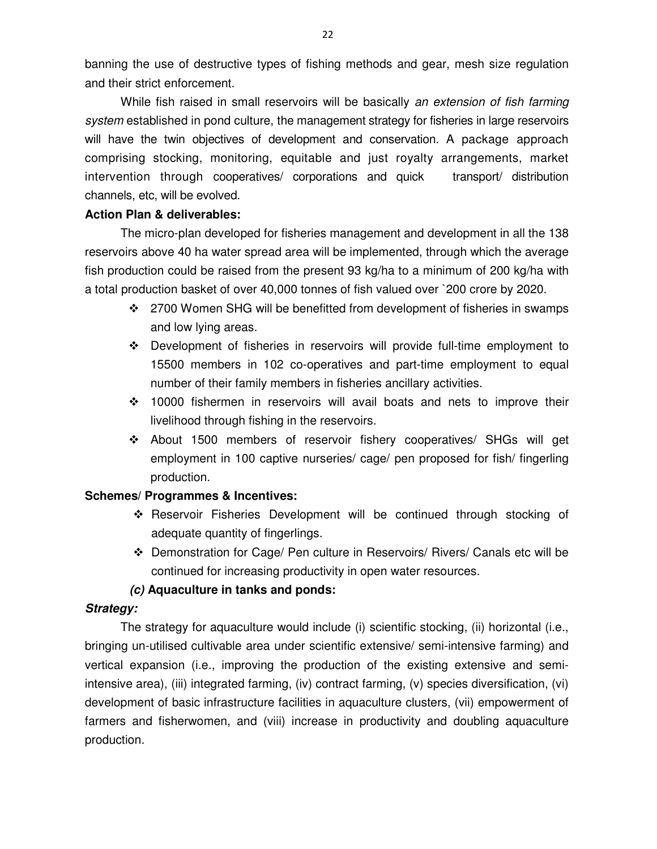banning the use of destructive types of fishing methods and gear, mesh size regulation and their strict enforcement.

While fish raised in small reservoirs will be basically an extension of fish farming system established in pond culture, the management strategy for fisheries in large reservoirs will have the twin objectives of development and conservation. A package approach comprising stocking, monitoring, equitable and just royalty arrangements, market intervention through cooperatives/ corporations and quick transport/ distribution channels, etc, will be evolved.

### **Action Plan & deliverables:**

The micro-plan developed for fisheries management and development in all the 138 reservoirs above 40 ha water spread area will be implemented, through which the average fish production could be raised from the present 93 kg/ha to a minimum of 200 kg/ha with a total production basket of over 40,000 tonnes of fish valued over `200 crore by 2020.

- 2700 Women SHG will be benefitted from development of fisheries in swamps and low lying areas.
- Development of fisheries in reservoirs will provide full-time employment to 15500 members in 102 co-operatives and part-time employment to equal number of their family members in fisheries ancillary activities.
- 10000 fishermen in reservoirs will avail boats and nets to improve their livelihood through fishing in the reservoirs.
- About 1500 members of reservoir fishery cooperatives/ SHGs will get employment in 100 captive nurseries/ cage/ pen proposed for fish/ fingerling production.

### **Schemes/ Programmes & Incentives:**

- Reservoir Fisheries Development will be continued through stocking of adequate quantity of fingerlings.
- Demonstration for Cage/ Pen culture in Reservoirs/ Rivers/ Canals etc will be continued for increasing productivity in open water resources.

## *(c)* **Aquaculture in tanks and ponds:**

### *Strategy:*

The strategy for aquaculture would include (i) scientific stocking, (ii) horizontal (i.e., bringing un-utilised cultivable area under scientific extensive/ semi-intensive farming) and vertical expansion (i.e., improving the production of the existing extensive and semiintensive area), (iii) integrated farming, (iv) contract farming, (v) species diversification, (vi) development of basic infrastructure facilities in aquaculture clusters, (vii) empowerment of farmers and fisherwomen, and (viii) increase in productivity and doubling aquaculture production.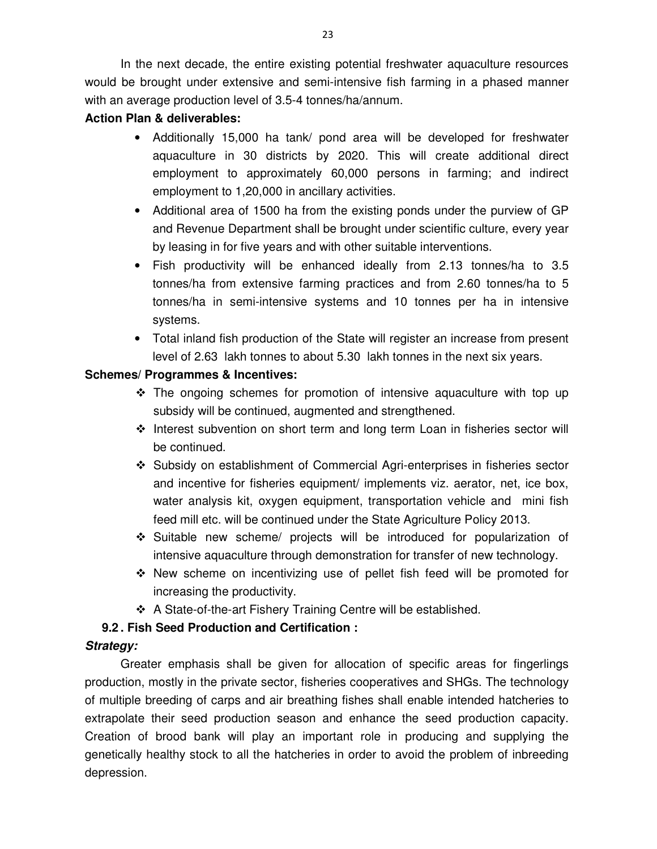In the next decade, the entire existing potential freshwater aquaculture resources would be brought under extensive and semi-intensive fish farming in a phased manner with an average production level of 3.5-4 tonnes/ha/annum.

# **Action Plan & deliverables:**

- Additionally 15,000 ha tank/ pond area will be developed for freshwater aquaculture in 30 districts by 2020. This will create additional direct employment to approximately 60,000 persons in farming; and indirect employment to 1,20,000 in ancillary activities.
- Additional area of 1500 ha from the existing ponds under the purview of GP and Revenue Department shall be brought under scientific culture, every year by leasing in for five years and with other suitable interventions.
- Fish productivity will be enhanced ideally from 2.13 tonnes/ha to 3.5 tonnes/ha from extensive farming practices and from 2.60 tonnes/ha to 5 tonnes/ha in semi-intensive systems and 10 tonnes per ha in intensive systems.
- Total inland fish production of the State will register an increase from present level of 2.63 lakh tonnes to about 5.30 lakh tonnes in the next six years.

## **Schemes/ Programmes & Incentives:**

- $\div$  The ongoing schemes for promotion of intensive aguaculture with top up subsidy will be continued, augmented and strengthened.
- ❖ Interest subvention on short term and long term Loan in fisheries sector will be continued.
- Subsidy on establishment of Commercial Agri-enterprises in fisheries sector and incentive for fisheries equipment/ implements viz. aerator, net, ice box, water analysis kit, oxygen equipment, transportation vehicle and mini fish feed mill etc. will be continued under the State Agriculture Policy 2013.
- Suitable new scheme/ projects will be introduced for popularization of intensive aquaculture through demonstration for transfer of new technology.
- $\cdot \cdot$  New scheme on incentivizing use of pellet fish feed will be promoted for increasing the productivity.
- A State-of-the-art Fishery Training Centre will be established.

# **9.2 . Fish Seed Production and Certification :**

# *Strategy:*

Greater emphasis shall be given for allocation of specific areas for fingerlings production, mostly in the private sector, fisheries cooperatives and SHGs. The technology of multiple breeding of carps and air breathing fishes shall enable intended hatcheries to extrapolate their seed production season and enhance the seed production capacity. Creation of brood bank will play an important role in producing and supplying the genetically healthy stock to all the hatcheries in order to avoid the problem of inbreeding depression.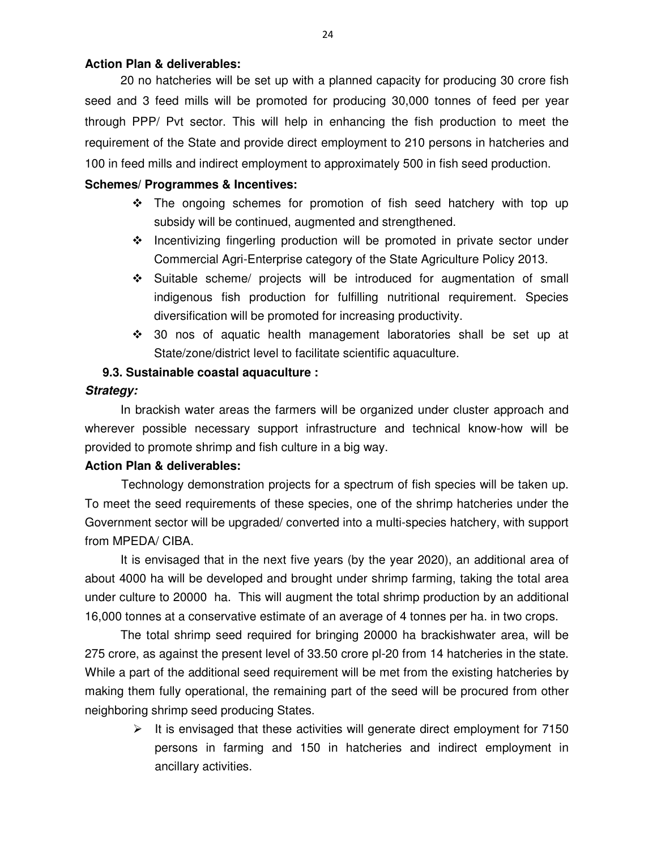## **Action Plan & deliverables:**

20 no hatcheries will be set up with a planned capacity for producing 30 crore fish seed and 3 feed mills will be promoted for producing 30,000 tonnes of feed per year through PPP/ Pvt sector. This will help in enhancing the fish production to meet the requirement of the State and provide direct employment to 210 persons in hatcheries and 100 in feed mills and indirect employment to approximately 500 in fish seed production.

## **Schemes/ Programmes & Incentives:**

- $\cdot \cdot$  The ongoing schemes for promotion of fish seed hatchery with top up subsidy will be continued, augmented and strengthened.
- Incentivizing fingerling production will be promoted in private sector under Commercial Agri-Enterprise category of the State Agriculture Policy 2013.
- Suitable scheme/ projects will be introduced for augmentation of small indigenous fish production for fulfilling nutritional requirement. Species diversification will be promoted for increasing productivity.
- $\div$  30 nos of aquatic health management laboratories shall be set up at State/zone/district level to facilitate scientific aquaculture.

## **9.3. Sustainable coastal aquaculture :**

### *Strategy:*

In brackish water areas the farmers will be organized under cluster approach and wherever possible necessary support infrastructure and technical know-how will be provided to promote shrimp and fish culture in a big way.

### **Action Plan & deliverables:**

 Technology demonstration projects for a spectrum of fish species will be taken up. To meet the seed requirements of these species, one of the shrimp hatcheries under the Government sector will be upgraded/ converted into a multi-species hatchery, with support from MPEDA/ CIBA.

It is envisaged that in the next five years (by the year 2020), an additional area of about 4000 ha will be developed and brought under shrimp farming, taking the total area under culture to 20000 ha. This will augment the total shrimp production by an additional 16,000 tonnes at a conservative estimate of an average of 4 tonnes per ha. in two crops.

The total shrimp seed required for bringing 20000 ha brackishwater area, will be 275 crore, as against the present level of 33.50 crore pl-20 from 14 hatcheries in the state. While a part of the additional seed requirement will be met from the existing hatcheries by making them fully operational, the remaining part of the seed will be procured from other neighboring shrimp seed producing States.

> > It is envisaged that these activities will generate direct employment for 7150 persons in farming and 150 in hatcheries and indirect employment in ancillary activities.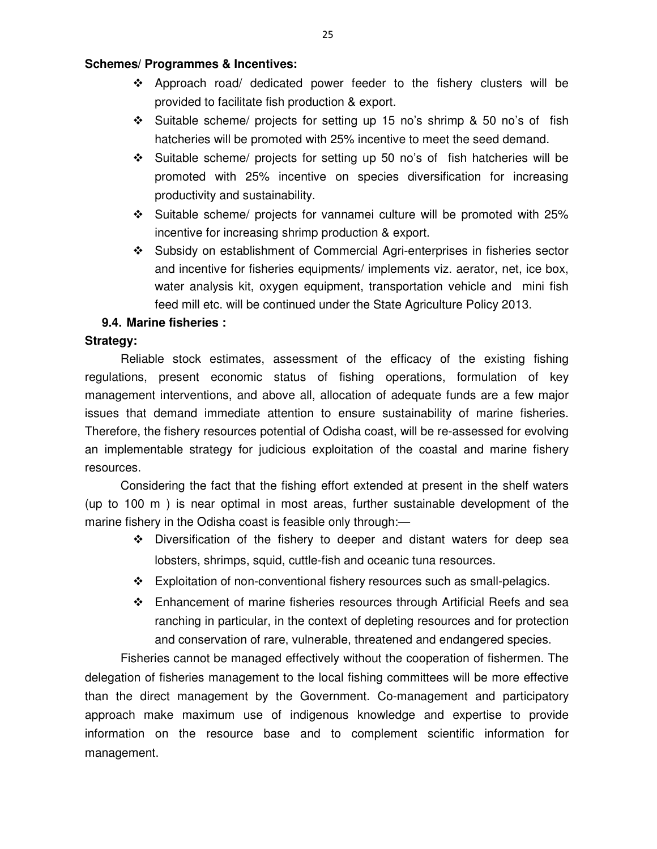### **Schemes/ Programmes & Incentives:**

- Approach road/ dedicated power feeder to the fishery clusters will be provided to facilitate fish production & export.
- $\div$  Suitable scheme/ projects for setting up 15 no's shrimp & 50 no's of fish hatcheries will be promoted with 25% incentive to meet the seed demand.
- $\div$  Suitable scheme/ projects for setting up 50 no's of fish hatcheries will be promoted with 25% incentive on species diversification for increasing productivity and sustainability.
- $\div$  Suitable scheme/ projects for vannamei culture will be promoted with 25% incentive for increasing shrimp production & export.
- Subsidy on establishment of Commercial Agri-enterprises in fisheries sector and incentive for fisheries equipments/ implements viz. aerator, net, ice box, water analysis kit, oxygen equipment, transportation vehicle and mini fish feed mill etc. will be continued under the State Agriculture Policy 2013.

## **9.4. Marine fisheries :**

### **Strategy:**

Reliable stock estimates, assessment of the efficacy of the existing fishing regulations, present economic status of fishing operations, formulation of key management interventions, and above all, allocation of adequate funds are a few major issues that demand immediate attention to ensure sustainability of marine fisheries. Therefore, the fishery resources potential of Odisha coast, will be re-assessed for evolving an implementable strategy for judicious exploitation of the coastal and marine fishery resources.

Considering the fact that the fishing effort extended at present in the shelf waters (up to 100 m ) is near optimal in most areas, further sustainable development of the marine fishery in the Odisha coast is feasible only through:—

- Diversification of the fishery to deeper and distant waters for deep sea lobsters, shrimps, squid, cuttle-fish and oceanic tuna resources.
- \* Exploitation of non-conventional fishery resources such as small-pelagics.
- Enhancement of marine fisheries resources through Artificial Reefs and sea ranching in particular, in the context of depleting resources and for protection and conservation of rare, vulnerable, threatened and endangered species.

Fisheries cannot be managed effectively without the cooperation of fishermen. The delegation of fisheries management to the local fishing committees will be more effective than the direct management by the Government. Co-management and participatory approach make maximum use of indigenous knowledge and expertise to provide information on the resource base and to complement scientific information for management.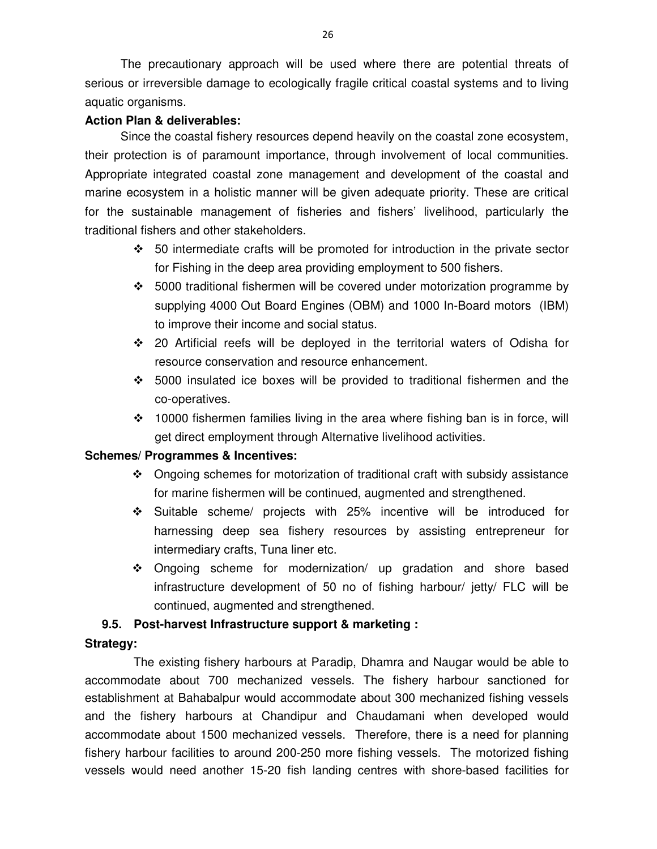The precautionary approach will be used where there are potential threats of serious or irreversible damage to ecologically fragile critical coastal systems and to living aquatic organisms.

## **Action Plan & deliverables:**

Since the coastal fishery resources depend heavily on the coastal zone ecosystem, their protection is of paramount importance, through involvement of local communities. Appropriate integrated coastal zone management and development of the coastal and marine ecosystem in a holistic manner will be given adequate priority. These are critical for the sustainable management of fisheries and fishers' livelihood, particularly the traditional fishers and other stakeholders.

- $\div$  50 intermediate crafts will be promoted for introduction in the private sector for Fishing in the deep area providing employment to 500 fishers.
- $\div$  5000 traditional fishermen will be covered under motorization programme by supplying 4000 Out Board Engines (OBM) and 1000 In-Board motors (IBM) to improve their income and social status.
- 20 Artificial reefs will be deployed in the territorial waters of Odisha for resource conservation and resource enhancement.
- $\div$  5000 insulated ice boxes will be provided to traditional fishermen and the co-operatives.
- $\div$  10000 fishermen families living in the area where fishing ban is in force, will get direct employment through Alternative livelihood activities.

## **Schemes/ Programmes & Incentives:**

- Ongoing schemes for motorization of traditional craft with subsidy assistance for marine fishermen will be continued, augmented and strengthened.
- Suitable scheme/ projects with 25% incentive will be introduced for harnessing deep sea fishery resources by assisting entrepreneur for intermediary crafts, Tuna liner etc.
- Ongoing scheme for modernization/ up gradation and shore based infrastructure development of 50 no of fishing harbour/ jetty/ FLC will be continued, augmented and strengthened.

## **9.5. Post-harvest Infrastructure support & marketing :**

## **Strategy:**

The existing fishery harbours at Paradip, Dhamra and Naugar would be able to accommodate about 700 mechanized vessels. The fishery harbour sanctioned for establishment at Bahabalpur would accommodate about 300 mechanized fishing vessels and the fishery harbours at Chandipur and Chaudamani when developed would accommodate about 1500 mechanized vessels. Therefore, there is a need for planning fishery harbour facilities to around 200-250 more fishing vessels. The motorized fishing vessels would need another 15-20 fish landing centres with shore-based facilities for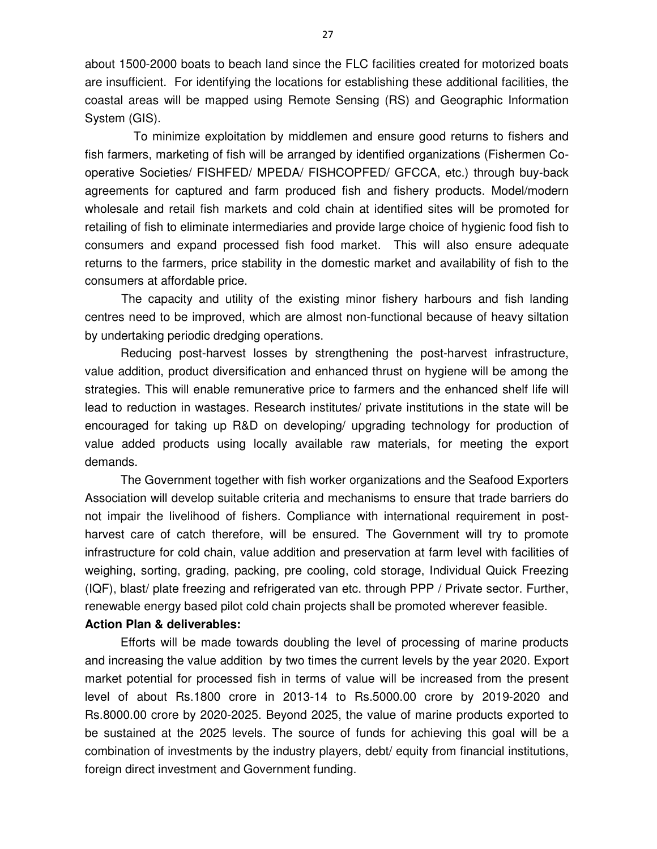about 1500-2000 boats to beach land since the FLC facilities created for motorized boats are insufficient. For identifying the locations for establishing these additional facilities, the coastal areas will be mapped using Remote Sensing (RS) and Geographic Information System (GIS).

To minimize exploitation by middlemen and ensure good returns to fishers and fish farmers, marketing of fish will be arranged by identified organizations (Fishermen Cooperative Societies/ FISHFED/ MPEDA/ FISHCOPFED/ GFCCA, etc.) through buy-back agreements for captured and farm produced fish and fishery products. Model/modern wholesale and retail fish markets and cold chain at identified sites will be promoted for retailing of fish to eliminate intermediaries and provide large choice of hygienic food fish to consumers and expand processed fish food market. This will also ensure adequate returns to the farmers, price stability in the domestic market and availability of fish to the consumers at affordable price.

 The capacity and utility of the existing minor fishery harbours and fish landing centres need to be improved, which are almost non-functional because of heavy siltation by undertaking periodic dredging operations.

Reducing post-harvest losses by strengthening the post-harvest infrastructure, value addition, product diversification and enhanced thrust on hygiene will be among the strategies. This will enable remunerative price to farmers and the enhanced shelf life will lead to reduction in wastages. Research institutes/ private institutions in the state will be encouraged for taking up R&D on developing/ upgrading technology for production of value added products using locally available raw materials, for meeting the export demands.

The Government together with fish worker organizations and the Seafood Exporters Association will develop suitable criteria and mechanisms to ensure that trade barriers do not impair the livelihood of fishers. Compliance with international requirement in postharvest care of catch therefore, will be ensured. The Government will try to promote infrastructure for cold chain, value addition and preservation at farm level with facilities of weighing, sorting, grading, packing, pre cooling, cold storage, Individual Quick Freezing (IQF), blast/ plate freezing and refrigerated van etc. through PPP / Private sector. Further, renewable energy based pilot cold chain projects shall be promoted wherever feasible.

### **Action Plan & deliverables:**

Efforts will be made towards doubling the level of processing of marine products and increasing the value addition by two times the current levels by the year 2020. Export market potential for processed fish in terms of value will be increased from the present level of about Rs.1800 crore in 2013-14 to Rs.5000.00 crore by 2019-2020 and Rs.8000.00 crore by 2020-2025. Beyond 2025, the value of marine products exported to be sustained at the 2025 levels. The source of funds for achieving this goal will be a combination of investments by the industry players, debt/ equity from financial institutions, foreign direct investment and Government funding.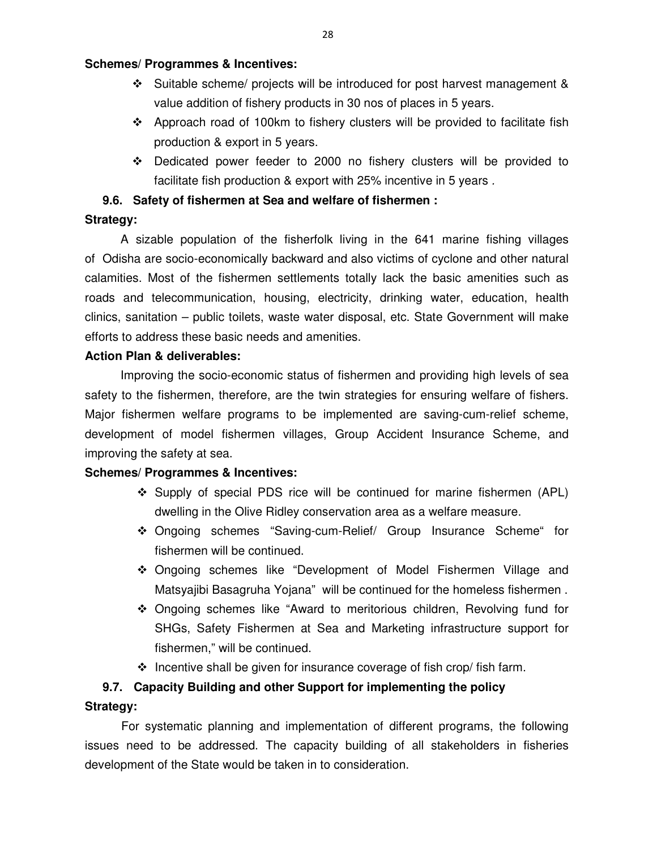## **Schemes/ Programmes & Incentives:**

- $\div$  Suitable scheme/ projects will be introduced for post harvest management & value addition of fishery products in 30 nos of places in 5 years.
- $\div$  Approach road of 100km to fishery clusters will be provided to facilitate fish production & export in 5 years.
- $\div$  Dedicated power feeder to 2000 no fishery clusters will be provided to facilitate fish production & export with 25% incentive in 5 years .

## **9.6. Safety of fishermen at Sea and welfare of fishermen :**

## **Strategy:**

A sizable population of the fisherfolk living in the 641 marine fishing villages of Odisha are socio-economically backward and also victims of cyclone and other natural calamities. Most of the fishermen settlements totally lack the basic amenities such as roads and telecommunication, housing, electricity, drinking water, education, health clinics, sanitation – public toilets, waste water disposal, etc. State Government will make efforts to address these basic needs and amenities.

## **Action Plan & deliverables:**

Improving the socio-economic status of fishermen and providing high levels of sea safety to the fishermen, therefore, are the twin strategies for ensuring welfare of fishers. Major fishermen welfare programs to be implemented are saving-cum-relief scheme, development of model fishermen villages, Group Accident Insurance Scheme, and improving the safety at sea.

## **Schemes/ Programmes & Incentives:**

- $\div$  Supply of special PDS rice will be continued for marine fishermen (APL) dwelling in the Olive Ridley conservation area as a welfare measure.
- Ongoing schemes "Saving-cum-Relief/ Group Insurance Scheme" for fishermen will be continued.
- Ongoing schemes like "Development of Model Fishermen Village and Matsyajibi Basagruha Yojana" will be continued for the homeless fishermen .
- Ongoing schemes like "Award to meritorious children, Revolving fund for SHGs, Safety Fishermen at Sea and Marketing infrastructure support for fishermen," will be continued.
- $\cdot$  Incentive shall be given for insurance coverage of fish crop/ fish farm.

# **9.7. Capacity Building and other Support for implementing the policy**

## **Strategy:**

For systematic planning and implementation of different programs, the following issues need to be addressed. The capacity building of all stakeholders in fisheries development of the State would be taken in to consideration.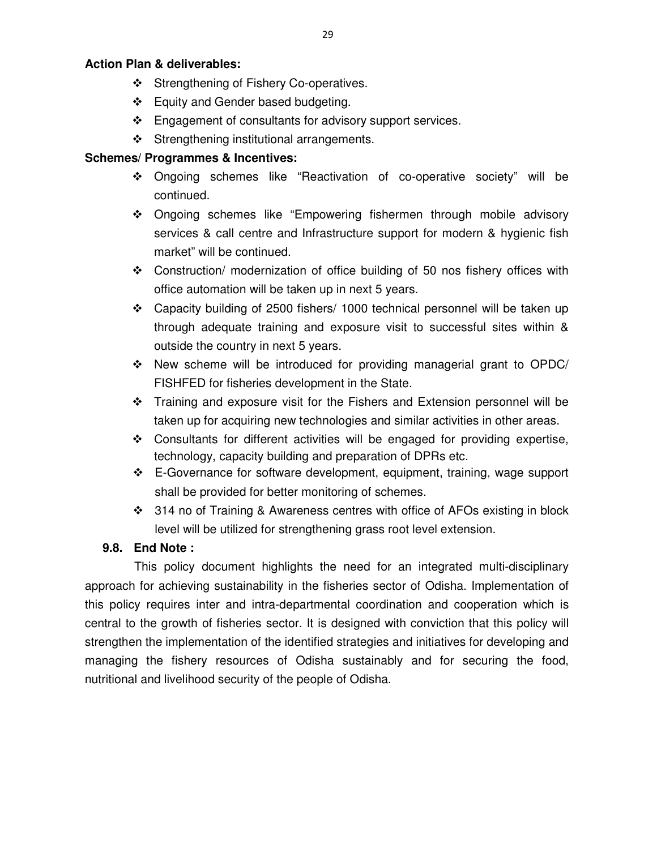## **Action Plan & deliverables:**

- Strengthening of Fishery Co-operatives.
- ❖ Equity and Gender based budgeting.
- $\div$  Engagement of consultants for advisory support services.
- Strengthening institutional arrangements.

# **Schemes/ Programmes & Incentives:**

- Ongoing schemes like "Reactivation of co-operative society" will be continued.
- Ongoing schemes like "Empowering fishermen through mobile advisory services & call centre and Infrastructure support for modern & hygienic fish market" will be continued.
- Construction/ modernization of office building of 50 nos fishery offices with office automation will be taken up in next 5 years.
- Capacity building of 2500 fishers/ 1000 technical personnel will be taken up through adequate training and exposure visit to successful sites within & outside the country in next 5 years.
- $\div$  New scheme will be introduced for providing managerial grant to OPDC/ FISHFED for fisheries development in the State.
- \* Training and exposure visit for the Fishers and Extension personnel will be taken up for acquiring new technologies and similar activities in other areas.
- $\div$  Consultants for different activities will be engaged for providing expertise, technology, capacity building and preparation of DPRs etc.
- E-Governance for software development, equipment, training, wage support shall be provided for better monitoring of schemes.
- 314 no of Training & Awareness centres with office of AFOs existing in block level will be utilized for strengthening grass root level extension.

# **9.8. End Note :**

This policy document highlights the need for an integrated multi-disciplinary approach for achieving sustainability in the fisheries sector of Odisha. Implementation of this policy requires inter and intra-departmental coordination and cooperation which is central to the growth of fisheries sector. It is designed with conviction that this policy will strengthen the implementation of the identified strategies and initiatives for developing and managing the fishery resources of Odisha sustainably and for securing the food, nutritional and livelihood security of the people of Odisha.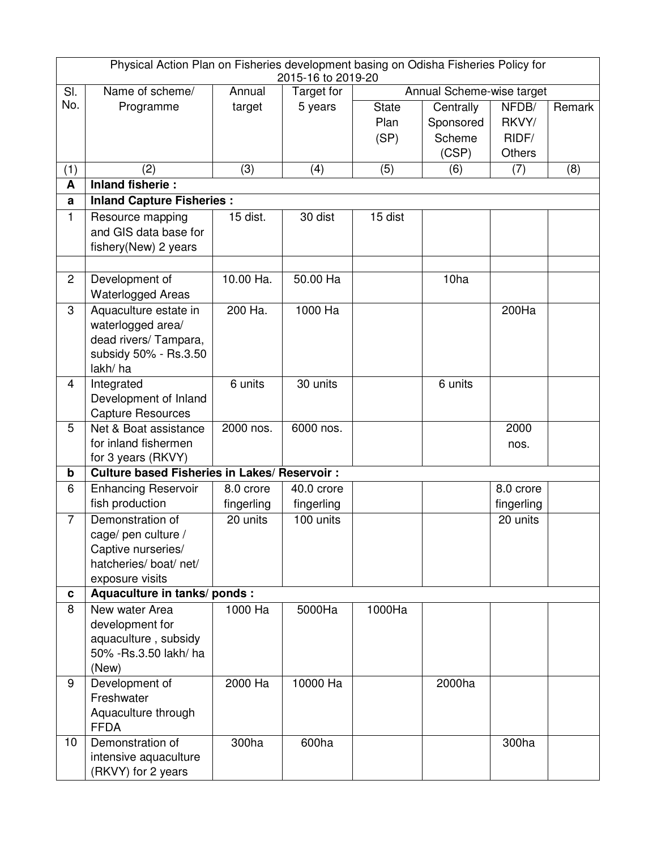| Physical Action Plan on Fisheries development basing on Odisha Fisheries Policy for<br>2015-16 to 2019-20 |                                                     |            |            |                           |           |               |        |
|-----------------------------------------------------------------------------------------------------------|-----------------------------------------------------|------------|------------|---------------------------|-----------|---------------|--------|
| SI.                                                                                                       | Name of scheme/                                     | Annual     | Target for | Annual Scheme-wise target |           |               |        |
| No.                                                                                                       | Programme                                           | target     | 5 years    | <b>State</b>              | Centrally | NFDB/         | Remark |
|                                                                                                           |                                                     |            |            | Plan                      | Sponsored | RKVY/         |        |
|                                                                                                           |                                                     |            |            | (SP)                      | Scheme    | RIDF/         |        |
|                                                                                                           |                                                     |            |            |                           | (CSP)     | <b>Others</b> |        |
| (1)                                                                                                       | (2)                                                 | (3)        | (4)        | (5)                       | (6)       | (7)           | (8)    |
| A                                                                                                         | <b>Inland fisherie:</b>                             |            |            |                           |           |               |        |
| a                                                                                                         | <b>Inland Capture Fisheries:</b>                    |            |            |                           |           |               |        |
| 1                                                                                                         | Resource mapping                                    | 15 dist.   | 30 dist    | 15 dist                   |           |               |        |
|                                                                                                           | and GIS data base for                               |            |            |                           |           |               |        |
|                                                                                                           | fishery(New) 2 years                                |            |            |                           |           |               |        |
|                                                                                                           |                                                     |            |            |                           |           |               |        |
| $\overline{2}$                                                                                            | Development of                                      | 10.00 Ha.  | 50.00 Ha   |                           | 10ha      |               |        |
|                                                                                                           | <b>Waterlogged Areas</b>                            |            |            |                           |           |               |        |
| 3                                                                                                         | Aquaculture estate in                               | 200 Ha.    | 1000 Ha    |                           |           | 200Ha         |        |
|                                                                                                           | waterlogged area/                                   |            |            |                           |           |               |        |
|                                                                                                           | dead rivers/ Tampara,                               |            |            |                           |           |               |        |
|                                                                                                           | subsidy 50% - Rs.3.50                               |            |            |                           |           |               |        |
|                                                                                                           | lakh/ha                                             |            |            |                           |           |               |        |
| $\overline{4}$                                                                                            | Integrated                                          | 6 units    | 30 units   |                           | 6 units   |               |        |
|                                                                                                           | Development of Inland                               |            |            |                           |           |               |        |
|                                                                                                           | <b>Capture Resources</b>                            |            |            |                           |           |               |        |
| 5                                                                                                         | Net & Boat assistance                               | 2000 nos.  | 6000 nos.  |                           |           | 2000          |        |
|                                                                                                           | for inland fishermen                                |            |            |                           |           | nos.          |        |
|                                                                                                           | for 3 years (RKVY)                                  |            |            |                           |           |               |        |
| b                                                                                                         | <b>Culture based Fisheries in Lakes/ Reservoir:</b> |            |            |                           |           |               |        |
| 6                                                                                                         | <b>Enhancing Reservoir</b>                          | 8.0 crore  | 40.0 crore |                           |           | 8.0 crore     |        |
|                                                                                                           | fish production                                     | fingerling | fingerling |                           |           | fingerling    |        |
| $\overline{7}$                                                                                            | Demonstration of                                    | 20 units   | 100 units  |                           |           | 20 units      |        |
|                                                                                                           | cage/ pen culture /                                 |            |            |                           |           |               |        |
|                                                                                                           | Captive nurseries/                                  |            |            |                           |           |               |        |
|                                                                                                           | hatcheries/ boat/ net/                              |            |            |                           |           |               |        |
|                                                                                                           | exposure visits                                     |            |            |                           |           |               |        |
| C                                                                                                         | Aquaculture in tanks/ ponds :                       |            |            |                           |           |               |        |
| 8                                                                                                         | New water Area                                      | 1000 Ha    | 5000Ha     | 1000Ha                    |           |               |        |
|                                                                                                           | development for                                     |            |            |                           |           |               |        |
|                                                                                                           | aquaculture, subsidy<br>50% - Rs.3.50 lakh/ ha      |            |            |                           |           |               |        |
|                                                                                                           |                                                     |            |            |                           |           |               |        |
| 9                                                                                                         | (New)<br>Development of                             | 2000 Ha    | 10000 Ha   |                           | 2000ha    |               |        |
|                                                                                                           | Freshwater                                          |            |            |                           |           |               |        |
|                                                                                                           | Aquaculture through                                 |            |            |                           |           |               |        |
|                                                                                                           | <b>FFDA</b>                                         |            |            |                           |           |               |        |
| 10                                                                                                        | Demonstration of                                    | 300ha      | 600ha      |                           |           | 300ha         |        |
|                                                                                                           | intensive aquaculture                               |            |            |                           |           |               |        |
|                                                                                                           | (RKVY) for 2 years                                  |            |            |                           |           |               |        |
|                                                                                                           |                                                     |            |            |                           |           |               |        |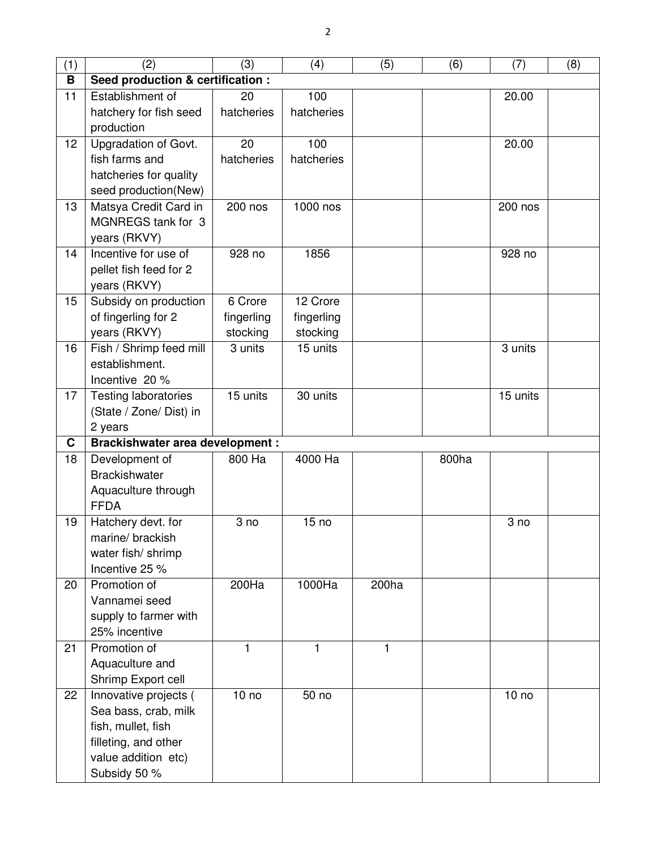| (1) | (2)                                    | (3)              | (4)              | (5)          | (6)   | (7)              | (8) |  |
|-----|----------------------------------------|------------------|------------------|--------------|-------|------------------|-----|--|
| В   | Seed production & certification :      |                  |                  |              |       |                  |     |  |
| 11  | Establishment of                       | 20               | 100              |              |       | 20.00            |     |  |
|     | hatchery for fish seed                 | hatcheries       | hatcheries       |              |       |                  |     |  |
|     | production                             |                  |                  |              |       |                  |     |  |
| 12  | Upgradation of Govt.                   | 20               | 100              |              |       | 20.00            |     |  |
|     | fish farms and                         | hatcheries       | hatcheries       |              |       |                  |     |  |
|     | hatcheries for quality                 |                  |                  |              |       |                  |     |  |
|     | seed production(New)                   |                  |                  |              |       |                  |     |  |
| 13  | Matsya Credit Card in                  | 200 nos          | 1000 nos         |              |       | 200 nos          |     |  |
|     | MGNREGS tank for 3                     |                  |                  |              |       |                  |     |  |
|     | years (RKVY)                           |                  |                  |              |       |                  |     |  |
| 14  | Incentive for use of                   | 928 no           | 1856             |              |       | 928 no           |     |  |
|     | pellet fish feed for 2                 |                  |                  |              |       |                  |     |  |
|     | years (RKVY)                           |                  |                  |              |       |                  |     |  |
| 15  | Subsidy on production                  | 6 Crore          | 12 Crore         |              |       |                  |     |  |
|     | of fingerling for 2                    | fingerling       | fingerling       |              |       |                  |     |  |
|     | years (RKVY)                           | stocking         | stocking         |              |       |                  |     |  |
| 16  | Fish / Shrimp feed mill                | 3 units          | 15 units         |              |       | 3 units          |     |  |
|     | establishment.                         |                  |                  |              |       |                  |     |  |
|     | Incentive 20 %                         |                  |                  |              |       |                  |     |  |
| 17  | <b>Testing laboratories</b>            | 15 units         | 30 units         |              |       | 15 units         |     |  |
|     | (State / Zone/ Dist) in                |                  |                  |              |       |                  |     |  |
|     | 2 years                                |                  |                  |              |       |                  |     |  |
| C   | <b>Brackishwater area development:</b> |                  |                  |              |       |                  |     |  |
| 18  | Development of                         | 800 Ha           | 4000 Ha          |              | 800ha |                  |     |  |
|     | <b>Brackishwater</b>                   |                  |                  |              |       |                  |     |  |
|     | Aquaculture through                    |                  |                  |              |       |                  |     |  |
|     | <b>FFDA</b>                            |                  |                  |              |       |                  |     |  |
| 19  | Hatchery devt. for                     | 3 no             | 15 <sub>no</sub> |              |       | 3 no             |     |  |
|     | marine/brackish                        |                  |                  |              |       |                  |     |  |
|     | water fish/shrimp<br>Incentive 25 %    |                  |                  |              |       |                  |     |  |
| 20  | Promotion of                           | 200Ha            | 1000Ha           | 200ha        |       |                  |     |  |
|     | Vannamei seed                          |                  |                  |              |       |                  |     |  |
|     | supply to farmer with                  |                  |                  |              |       |                  |     |  |
|     | 25% incentive                          |                  |                  |              |       |                  |     |  |
| 21  | Promotion of                           | 1                | $\mathbf{1}$     | $\mathbf{1}$ |       |                  |     |  |
|     | Aquaculture and                        |                  |                  |              |       |                  |     |  |
|     | Shrimp Export cell                     |                  |                  |              |       |                  |     |  |
| 22  | Innovative projects (                  | 10 <sub>no</sub> | 50 no            |              |       | 10 <sub>no</sub> |     |  |
|     | Sea bass, crab, milk                   |                  |                  |              |       |                  |     |  |
|     | fish, mullet, fish                     |                  |                  |              |       |                  |     |  |
|     | filleting, and other                   |                  |                  |              |       |                  |     |  |
|     | value addition etc)                    |                  |                  |              |       |                  |     |  |
|     | Subsidy 50 %                           |                  |                  |              |       |                  |     |  |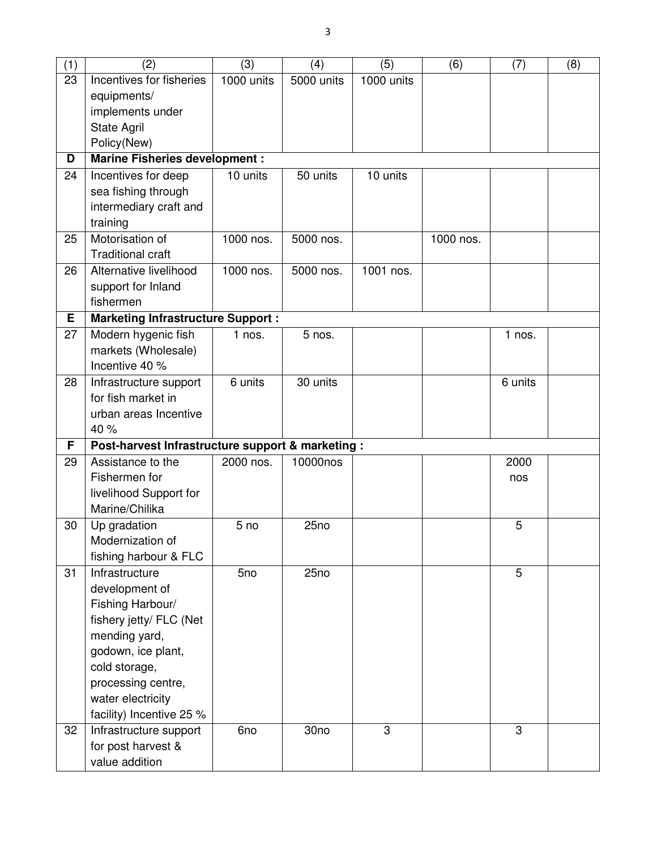| (1) | (2)                                               | (3)             | (4)        | (5)        | (6)       | (7)      | (8) |
|-----|---------------------------------------------------|-----------------|------------|------------|-----------|----------|-----|
| 23  | Incentives for fisheries                          | 1000 units      | 5000 units | 1000 units |           |          |     |
|     | equipments/                                       |                 |            |            |           |          |     |
|     | implements under                                  |                 |            |            |           |          |     |
|     | <b>State Agril</b>                                |                 |            |            |           |          |     |
|     | Policy(New)                                       |                 |            |            |           |          |     |
| D   | <b>Marine Fisheries development:</b>              |                 |            |            |           |          |     |
| 24  | Incentives for deep                               | 10 units        | 50 units   | 10 units   |           |          |     |
|     | sea fishing through                               |                 |            |            |           |          |     |
|     | intermediary craft and                            |                 |            |            |           |          |     |
|     | training                                          |                 |            |            |           |          |     |
| 25  | Motorisation of                                   | 1000 nos.       | 5000 nos.  |            | 1000 nos. |          |     |
|     | <b>Traditional craft</b>                          |                 |            |            |           |          |     |
| 26  | Alternative livelihood                            | 1000 nos.       | 5000 nos.  | 1001 nos.  |           |          |     |
|     | support for Inland                                |                 |            |            |           |          |     |
|     | fishermen                                         |                 |            |            |           |          |     |
| Е   | <b>Marketing Infrastructure Support:</b>          |                 |            |            |           |          |     |
| 27  | Modern hygenic fish                               | $1$ nos.        | 5 nos.     |            |           | $1$ nos. |     |
|     | markets (Wholesale)                               |                 |            |            |           |          |     |
|     | Incentive 40 %                                    |                 |            |            |           |          |     |
| 28  | Infrastructure support                            | 6 units         | 30 units   |            |           | 6 units  |     |
|     | for fish market in                                |                 |            |            |           |          |     |
|     | urban areas Incentive                             |                 |            |            |           |          |     |
|     | 40 %                                              |                 |            |            |           |          |     |
| F   | Post-harvest Infrastructure support & marketing : |                 |            |            |           |          |     |
| 29  | Assistance to the                                 | 2000 nos.       | 10000nos   |            |           | 2000     |     |
|     | Fishermen for                                     |                 |            |            |           | nos      |     |
|     | livelihood Support for                            |                 |            |            |           |          |     |
|     | Marine/Chilika                                    |                 |            |            |           |          |     |
| 30  | Up gradation                                      | 5 <sub>no</sub> | 25no       |            |           | 5        |     |
|     | Modernization of                                  |                 |            |            |           |          |     |
|     | fishing harbour & FLC                             |                 |            |            |           |          |     |
| 31  | Infrastructure                                    | 5no             | 25no       |            |           | 5        |     |
|     | development of                                    |                 |            |            |           |          |     |
|     | Fishing Harbour/                                  |                 |            |            |           |          |     |
|     | fishery jetty/ FLC (Net                           |                 |            |            |           |          |     |
|     | mending yard,                                     |                 |            |            |           |          |     |
|     | godown, ice plant,                                |                 |            |            |           |          |     |
|     | cold storage,                                     |                 |            |            |           |          |     |
|     | processing centre,                                |                 |            |            |           |          |     |
|     | water electricity                                 |                 |            |            |           |          |     |
|     | facility) Incentive 25 %                          |                 |            |            |           |          |     |
| 32  | Infrastructure support                            | 6no             | 30no       | 3          |           | 3        |     |
|     | for post harvest &                                |                 |            |            |           |          |     |
|     | value addition                                    |                 |            |            |           |          |     |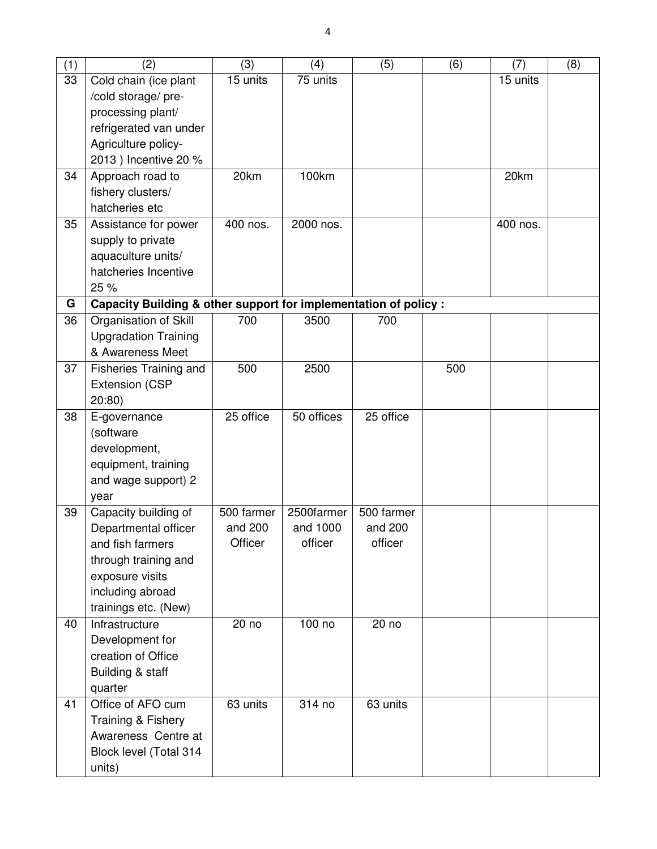| (1) | (2)                                                              | (3)        | (4)        | (5)        | (6) | (7)      | (8) |
|-----|------------------------------------------------------------------|------------|------------|------------|-----|----------|-----|
| 33  | Cold chain (ice plant                                            | 15 units   | 75 units   |            |     | 15 units |     |
|     | /cold storage/ pre-                                              |            |            |            |     |          |     |
|     | processing plant/                                                |            |            |            |     |          |     |
|     | refrigerated van under                                           |            |            |            |     |          |     |
|     | Agriculture policy-                                              |            |            |            |     |          |     |
|     | 2013) Incentive 20 %                                             |            |            |            |     |          |     |
| 34  | Approach road to                                                 | 20km       | 100km      |            |     | 20km     |     |
|     | fishery clusters/                                                |            |            |            |     |          |     |
|     | hatcheries etc                                                   |            |            |            |     |          |     |
| 35  | Assistance for power                                             | 400 nos.   | 2000 nos.  |            |     | 400 nos. |     |
|     | supply to private                                                |            |            |            |     |          |     |
|     | aquaculture units/                                               |            |            |            |     |          |     |
|     | hatcheries Incentive                                             |            |            |            |     |          |     |
|     | 25 %                                                             |            |            |            |     |          |     |
| G   | Capacity Building & other support for implementation of policy : |            |            |            |     |          |     |
| 36  | Organisation of Skill                                            | 700        | 3500       | 700        |     |          |     |
|     | <b>Upgradation Training</b>                                      |            |            |            |     |          |     |
|     | & Awareness Meet                                                 |            |            |            |     |          |     |
| 37  | Fisheries Training and                                           | 500        | 2500       |            | 500 |          |     |
|     | <b>Extension (CSP</b>                                            |            |            |            |     |          |     |
|     | 20:80)                                                           |            |            |            |     |          |     |
| 38  | E-governance                                                     | 25 office  | 50 offices | 25 office  |     |          |     |
|     | (software                                                        |            |            |            |     |          |     |
|     | development,                                                     |            |            |            |     |          |     |
|     | equipment, training                                              |            |            |            |     |          |     |
|     | and wage support) 2                                              |            |            |            |     |          |     |
|     | year                                                             |            |            |            |     |          |     |
| 39  | Capacity building of                                             | 500 farmer | 2500farmer | 500 farmer |     |          |     |
|     | Departmental officer                                             | and 200    | and 1000   | and 200    |     |          |     |
|     | and fish farmers                                                 | Officer    | officer    | officer    |     |          |     |
|     | through training and                                             |            |            |            |     |          |     |
|     | exposure visits                                                  |            |            |            |     |          |     |
|     | including abroad                                                 |            |            |            |     |          |     |
|     | trainings etc. (New)                                             |            |            |            |     |          |     |
| 40  | Infrastructure                                                   | 20 no      | 100 no     | 20 no      |     |          |     |
|     | Development for                                                  |            |            |            |     |          |     |
|     | creation of Office                                               |            |            |            |     |          |     |
|     | Building & staff                                                 |            |            |            |     |          |     |
|     | quarter                                                          |            |            |            |     |          |     |
| 41  | Office of AFO cum                                                | 63 units   | 314 no     | 63 units   |     |          |     |
|     | Training & Fishery                                               |            |            |            |     |          |     |
|     | Awareness Centre at                                              |            |            |            |     |          |     |
|     | Block level (Total 314                                           |            |            |            |     |          |     |
|     | units)                                                           |            |            |            |     |          |     |
|     |                                                                  |            |            |            |     |          |     |